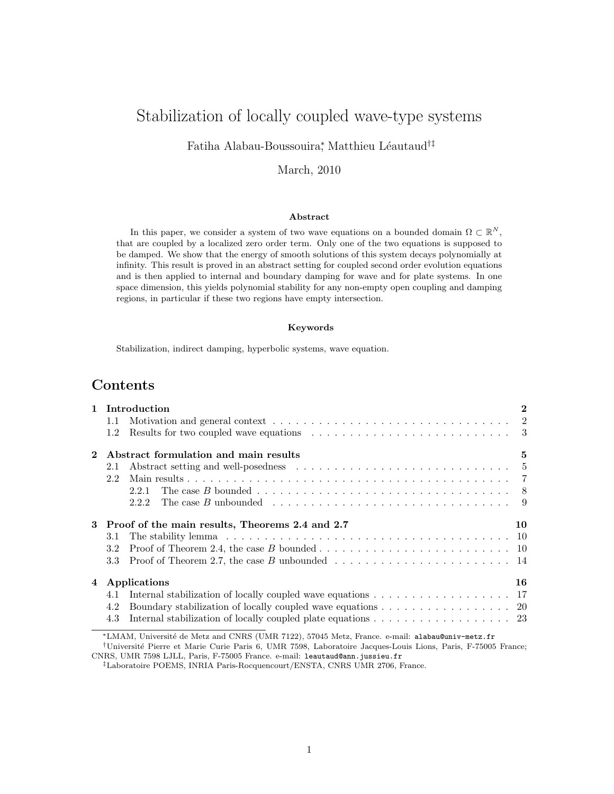# Stabilization of locally coupled wave-type systems

Fatiha Alabau-Boussouira<sup>\*</sup>, Matthieu Léautaud<sup>†‡</sup>

### March, 2010

#### Abstract

In this paper, we consider a system of two wave equations on a bounded domain  $\Omega \subset \mathbb{R}^N$ , that are coupled by a localized zero order term. Only one of the two equations is supposed to be damped. We show that the energy of smooth solutions of this system decays polynomially at infinity. This result is proved in an abstract setting for coupled second order evolution equations and is then applied to internal and boundary damping for wave and for plate systems. In one space dimension, this yields polynomial stability for any non-empty open coupling and damping regions, in particular if these two regions have empty intersection.

#### Keywords

Stabilization, indirect damping, hyperbolic systems, wave equation.

# Contents

|   | 1 Introduction                                  |                                                                                                                            |  |  |  |  |  |  |
|---|-------------------------------------------------|----------------------------------------------------------------------------------------------------------------------------|--|--|--|--|--|--|
|   | $1.1\,$                                         | Motivation and general context $\dots \dots \dots \dots \dots \dots \dots \dots \dots \dots \dots \dots \dots \dots \dots$ |  |  |  |  |  |  |
|   | 1.2                                             |                                                                                                                            |  |  |  |  |  |  |
|   |                                                 | Abstract formulation and main results<br>5                                                                                 |  |  |  |  |  |  |
|   | 2.1                                             | Abstract setting and well-posedness $\dots \dots \dots \dots \dots \dots \dots \dots \dots \dots \dots \dots$              |  |  |  |  |  |  |
|   | 2.2                                             |                                                                                                                            |  |  |  |  |  |  |
|   |                                                 | 2.2.1                                                                                                                      |  |  |  |  |  |  |
|   |                                                 | 2.2.2                                                                                                                      |  |  |  |  |  |  |
| 3 | Proof of the main results, Theorems 2.4 and 2.7 |                                                                                                                            |  |  |  |  |  |  |
|   | 3.1                                             |                                                                                                                            |  |  |  |  |  |  |
|   | 3.2                                             |                                                                                                                            |  |  |  |  |  |  |
|   | 3.3                                             | Proof of Theorem 2.7, the case B unbounded $\dots \dots \dots \dots \dots \dots \dots \dots \dots \dots$                   |  |  |  |  |  |  |
|   | 4 Applications                                  |                                                                                                                            |  |  |  |  |  |  |
|   | 4.1                                             | Internal stabilization of locally coupled wave equations $\dots \dots \dots \dots \dots \dots \dots$                       |  |  |  |  |  |  |
|   | 4.2                                             | Boundary stabilization of locally coupled wave equations 20                                                                |  |  |  |  |  |  |
|   | 4.3                                             | Internal stabilization of locally coupled plate equations 23                                                               |  |  |  |  |  |  |
|   |                                                 | *IMAM Hoisepoith de Mate and CNDC (HMD 7199), 57045 Mate France, a mail, alaber Quein mate for                             |  |  |  |  |  |  |

<sup>∗</sup>LMAM, Universit´e de Metz and CNRS (UMR 7122), 57045 Metz, France. e-mail: alabau@univ-metz.fr †Universit´e Pierre et Marie Curie Paris 6, UMR 7598, Laboratoire Jacques-Louis Lions, Paris, F-75005 France;

CNRS, UMR 7598 LJLL, Paris, F-75005 France. e-mail: leautaud@ann.jussieu.fr

‡Laboratoire POEMS, INRIA Paris-Rocquencourt/ENSTA, CNRS UMR 2706, France.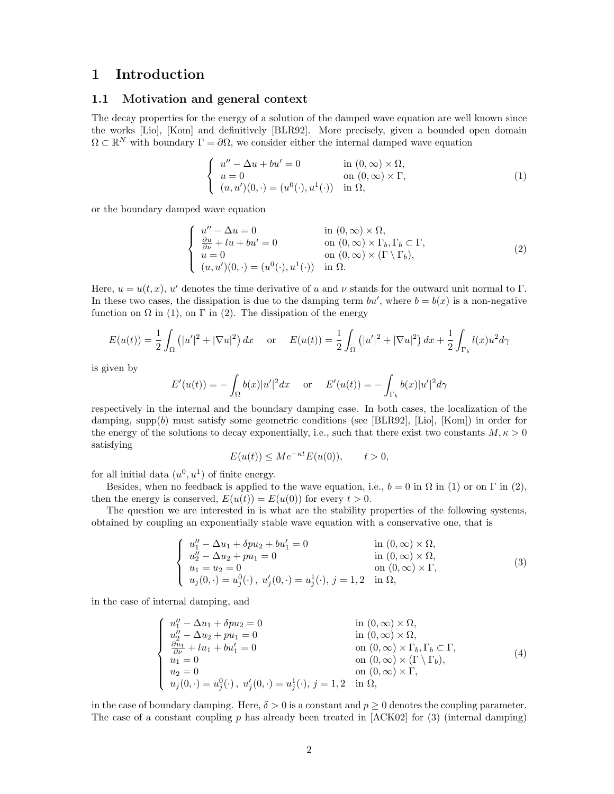# 1 Introduction

### 1.1 Motivation and general context

The decay properties for the energy of a solution of the damped wave equation are well known since the works [Lio], [Kom] and definitively [BLR92]. More precisely, given a bounded open domain  $\Omega \subset \mathbb{R}^N$  with boundary  $\Gamma = \partial \Omega$ , we consider either the internal damped wave equation

$$
\begin{cases}\n u'' - \Delta u + bu' = 0 & \text{in } (0, \infty) \times \Omega, \\
 u = 0 & \text{on } (0, \infty) \times \Gamma, \\
 (u, u')(0, \cdot) = (u^0(\cdot), u^1(\cdot)) & \text{in } \Omega,\n\end{cases}
$$
\n(1)

or the boundary damped wave equation

$$
\begin{cases}\n u'' - \Delta u = 0 & \text{in } (0, \infty) \times \Omega, \\
 \frac{\partial u}{\partial \nu} + l u + b u' = 0 & \text{on } (0, \infty) \times \Gamma_b, \Gamma_b \subset \Gamma, \\
 u = 0 & \text{on } (0, \infty) \times (\Gamma \setminus \Gamma_b), \\
 (u, u')(0, \cdot) = (u^0(\cdot), u^1(\cdot)) & \text{in } \Omega.\n\end{cases}
$$
\n(2)

Here,  $u = u(t, x)$ , u' denotes the time derivative of u and v stands for the outward unit normal to  $\Gamma$ . In these two cases, the dissipation is due to the damping term  $bu'$ , where  $b = b(x)$  is a non-negative function on  $\Omega$  in (1), on  $\Gamma$  in (2). The dissipation of the energy

$$
E(u(t)) = \frac{1}{2} \int_{\Omega} (|u'|^2 + |\nabla u|^2) dx \quad \text{or} \quad E(u(t)) = \frac{1}{2} \int_{\Omega} (|u'|^2 + |\nabla u|^2) dx + \frac{1}{2} \int_{\Gamma_b} l(x)u^2 d\gamma
$$

is given by

$$
E'(u(t)) = -\int_{\Omega} b(x)|u'|^2 dx \quad \text{or} \quad E'(u(t)) = -\int_{\Gamma_b} b(x)|u'|^2 d\gamma
$$

respectively in the internal and the boundary damping case. In both cases, the localization of the damping, supp(b) must satisfy some geometric conditions (see [BLR92], [Lio], [Kom]) in order for the energy of the solutions to decay exponentially, i.e., such that there exist two constants  $M, \kappa > 0$ satisfying

$$
E(u(t)) \le Me^{-\kappa t} E(u(0)), \qquad t > 0,
$$

for all initial data  $(u^0, u^1)$  of finite energy.

Besides, when no feedback is applied to the wave equation, i.e.,  $b = 0$  in  $\Omega$  in (1) or on  $\Gamma$  in (2), then the energy is conserved,  $E(u(t)) = E(u(0))$  for every  $t > 0$ .

The question we are interested in is what are the stability properties of the following systems, obtained by coupling an exponentially stable wave equation with a conservative one, that is

$$
\begin{cases}\nu''_1 - \Delta u_1 + \delta p u_2 + b u'_1 = 0 & \text{in } (0, \infty) \times \Omega, \\
u''_2 - \Delta u_2 + p u_1 = 0 & \text{in } (0, \infty) \times \Omega, \\
u_1 = u_2 = 0 & \text{on } (0, \infty) \times \Gamma, \\
u_j(0, \cdot) = u_j^0(\cdot), u'_j(0, \cdot) = u_j^1(\cdot), j = 1, 2 \text{ in } \Omega,\n\end{cases}
$$
\n(3)

in the case of internal damping, and

$$
\begin{cases}\nu''_{1} - \Delta u_{1} + \delta p u_{2} = 0 & \text{in } (0, \infty) \times \Omega, \\
u''_{2} - \Delta u_{2} + p u_{1} = 0 & \text{in } (0, \infty) \times \Omega, \\
\frac{\partial u_{1}}{\partial \nu} + l u_{1} + b u'_{1} = 0 & \text{on } (0, \infty) \times \Gamma_{b}, \Gamma_{b} \subset \Gamma, \\
u_{1} = 0 & \text{on } (0, \infty) \times (\Gamma \setminus \Gamma_{b}), \\
u_{2} = 0 & \text{on } (0, \infty) \times \Gamma, \\
u_{j}(0, \cdot) = u_{j}^{0}(\cdot), u'_{j}(0, \cdot) = u_{j}^{1}(\cdot), j = 1, 2 \quad \text{in } \Omega,\n\end{cases}
$$
\n(4)

in the case of boundary damping. Here,  $\delta > 0$  is a constant and  $p \ge 0$  denotes the coupling parameter. The case of a constant coupling  $p$  has already been treated in [ACK02] for (3) (internal damping)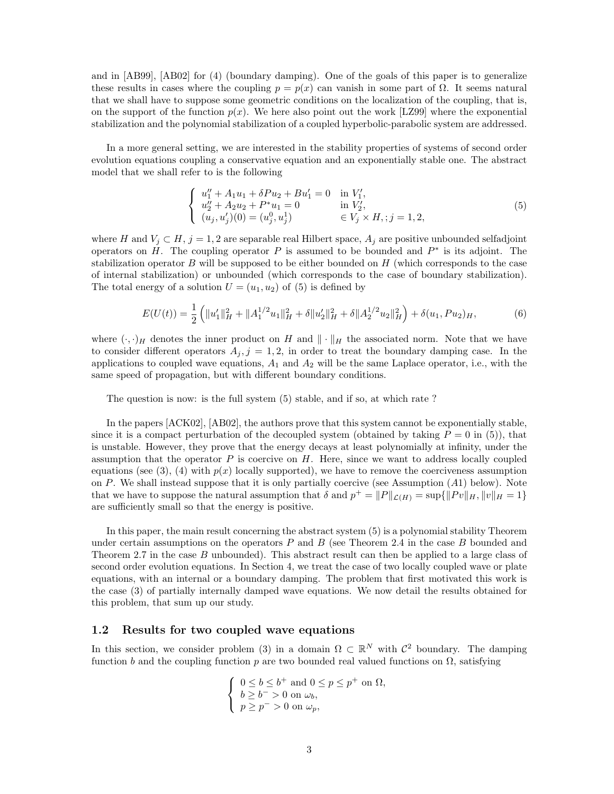and in [AB99], [AB02] for (4) (boundary damping). One of the goals of this paper is to generalize these results in cases where the coupling  $p = p(x)$  can vanish in some part of  $\Omega$ . It seems natural that we shall have to suppose some geometric conditions on the localization of the coupling, that is, on the support of the function  $p(x)$ . We here also point out the work [LZ99] where the exponential stabilization and the polynomial stabilization of a coupled hyperbolic-parabolic system are addressed.

In a more general setting, we are interested in the stability properties of systems of second order evolution equations coupling a conservative equation and an exponentially stable one. The abstract model that we shall refer to is the following

$$
\begin{cases}\nu_1'' + A_1 u_1 + \delta P u_2 + B u_1' = 0 & \text{in } V_1', \\
u_2'' + A_2 u_2 + P^* u_1 = 0 & \text{in } V_2', \\
(u_j, u_j')(0) = (u_j^0, u_j^1) & \in V_j \times H, \ j = 1, 2,\n\end{cases}
$$
\n(5)

where H and  $V_i \subset H$ ,  $j = 1, 2$  are separable real Hilbert space,  $A_i$  are positive unbounded selfadjoint operators on  $H$ . The coupling operator P is assumed to be bounded and  $P^*$  is its adjoint. The stabilization operator  $B$  will be supposed to be either bounded on  $H$  (which corresponds to the case of internal stabilization) or unbounded (which corresponds to the case of boundary stabilization). The total energy of a solution  $U = (u_1, u_2)$  of (5) is defined by

$$
E(U(t)) = \frac{1}{2} \left( \|u_1'\|_H^2 + \|A_1^{1/2}u_1\|_H^2 + \delta \|u_2'\|_H^2 + \delta \|A_2^{1/2}u_2\|_H^2 \right) + \delta(u_1, Pu_2)_H, \tag{6}
$$

where  $(\cdot, \cdot)_H$  denotes the inner product on H and  $\|\cdot\|_H$  the associated norm. Note that we have to consider different operators  $A_j$ , j = 1, 2, in order to treat the boundary damping case. In the applications to coupled wave equations,  $A_1$  and  $A_2$  will be the same Laplace operator, i.e., with the same speed of propagation, but with different boundary conditions.

The question is now: is the full system (5) stable, and if so, at which rate ?

In the papers [ACK02], [AB02], the authors prove that this system cannot be exponentially stable, since it is a compact perturbation of the decoupled system (obtained by taking  $P = 0$  in (5)), that is unstable. However, they prove that the energy decays at least polynomially at infinity, under the assumption that the operator  $P$  is coercive on  $H$ . Here, since we want to address locally coupled equations (see (3), (4) with  $p(x)$  locally supported), we have to remove the coerciveness assumption on P. We shall instead suppose that it is only partially coercive (see Assumption (A1) below). Note that we have to suppose the natural assumption that  $\delta$  and  $p^+ = ||P||_{\mathcal{L}(H)} = \sup{||Pv||_H, ||v||_H = 1}$ are sufficiently small so that the energy is positive.

In this paper, the main result concerning the abstract system (5) is a polynomial stability Theorem under certain assumptions on the operators  $P$  and  $B$  (see Theorem 2.4 in the case  $B$  bounded and Theorem 2.7 in the case B unbounded). This abstract result can then be applied to a large class of second order evolution equations. In Section 4, we treat the case of two locally coupled wave or plate equations, with an internal or a boundary damping. The problem that first motivated this work is the case (3) of partially internally damped wave equations. We now detail the results obtained for this problem, that sum up our study.

### 1.2 Results for two coupled wave equations

In this section, we consider problem (3) in a domain  $\Omega \subset \mathbb{R}^N$  with  $\mathcal{C}^2$  boundary. The damping function b and the coupling function p are two bounded real valued functions on  $\Omega$ , satisfying

$$
\begin{cases} 0 \leq b \leq b^+ \text{ and } 0 \leq p \leq p^+ \text{ on } \Omega, \\ b \geq b^- > 0 \text{ on } \omega_b, \\ p \geq p^- > 0 \text{ on } \omega_p, \end{cases}
$$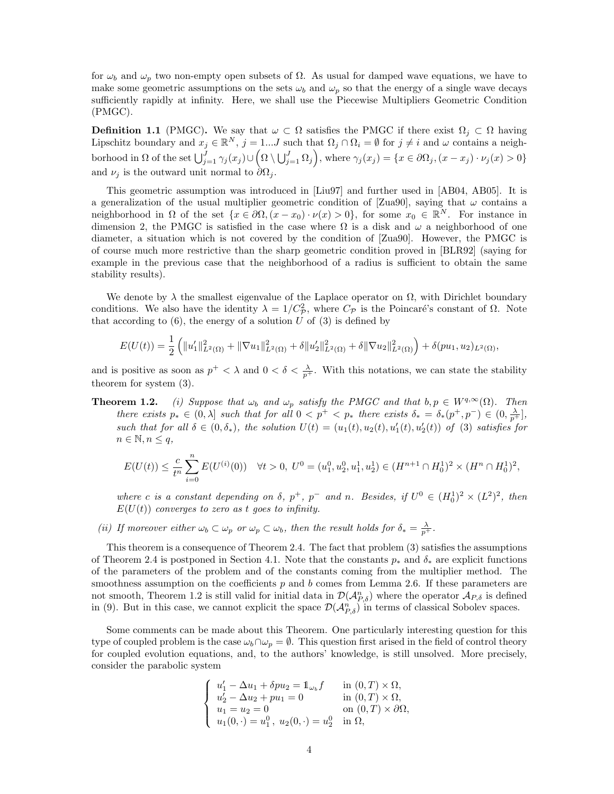for  $\omega_b$  and  $\omega_p$  two non-empty open subsets of  $\Omega$ . As usual for damped wave equations, we have to make some geometric assumptions on the sets  $\omega_b$  and  $\omega_p$  so that the energy of a single wave decays sufficiently rapidly at infinity. Here, we shall use the Piecewise Multipliers Geometric Condition (PMGC).

**Definition 1.1** (PMGC). We say that  $\omega \subset \Omega$  satisfies the PMGC if there exist  $\Omega_j \subset \Omega$  having Lipschitz boundary and  $x_j \in \mathbb{R}^N$ ,  $j = 1...J$  such that  $\Omega_j \cap \Omega_i = \emptyset$  for  $j \neq i$  and  $\omega$  contains a neighborhood in  $\Omega$  of the set  $\bigcup_{j=1}^J \gamma_j(x_j) \cup \left( \Omega \setminus \bigcup_{j=1}^J \Omega_j \right)$ , where  $\gamma_j(x_j) = \{ x \in \partial \Omega_j, (x - x_j) \cdot \nu_j(x) > 0 \}$ and  $\nu_j$  is the outward unit normal to  $\partial\Omega_j$ .

This geometric assumption was introduced in [Liu97] and further used in [AB04, AB05]. It is a generalization of the usual multiplier geometric condition of [Zua90], saying that  $\omega$  contains a neighborhood in  $\Omega$  of the set  $\{x \in \partial\Omega, (x-x_0)\cdot\nu(x) > 0\}$ , for some  $x_0 \in \mathbb{R}^N$ . For instance in dimension 2, the PMGC is satisfied in the case where  $\Omega$  is a disk and  $\omega$  a neighborhood of one diameter, a situation which is not covered by the condition of [Zua90]. However, the PMGC is of course much more restrictive than the sharp geometric condition proved in [BLR92] (saying for example in the previous case that the neighborhood of a radius is sufficient to obtain the same stability results).

We denote by  $\lambda$  the smallest eigenvalue of the Laplace operator on  $\Omega$ , with Dirichlet boundary conditions. We also have the identity  $\lambda = 1/C_p^2$ , where  $C_p$  is the Poincaré's constant of  $\Omega$ . Note that according to  $(6)$ , the energy of a solution U of  $(3)$  is defined by

$$
E(U(t)) = \frac{1}{2} \left( \|u_1'\|_{L^2(\Omega)}^2 + \|\nabla u_1\|_{L^2(\Omega)}^2 + \delta \|u_2'\|_{L^2(\Omega)}^2 + \delta \|\nabla u_2\|_{L^2(\Omega)}^2 \right) + \delta(pu_1, u_2)_{L^2(\Omega)},
$$

and is positive as soon as  $p^+ < \lambda$  and  $0 < \delta < \frac{\lambda}{p^+}$ . With this notations, we can state the stability theorem for system (3).

**Theorem 1.2.** (i) Suppose that  $\omega_b$  and  $\omega_p$  satisfy the PMGC and that  $b, p \in W^{q, \infty}(\Omega)$ . Then there exists  $p_* \in (0, \lambda]$  such that for all  $0 < p^+ < p_*$  there exists  $\delta_* = \delta_*(p^+, p^-) \in (0, \frac{\lambda}{p^+})$ , such that for all  $\delta \in (0, \delta_*)$ , the solution  $U(t) = (u_1(t), u_2(t), u'_1(t), u'_2(t))$  of (3) satisfies for  $n \in \mathbb{N}, n \leq q,$ 

$$
E(U(t))\leq \frac{c}{t^n}\sum_{i=0}^n E(U^{(i)}(0))\quad \forall t>0,\; U^0=(u_1^0,u_2^0,u_1^1,u_2^1)\in (H^{n+1}\cap H^1_0)^2\times (H^n\cap H^1_0)^2,
$$

where c is a constant depending on  $\delta$ ,  $p^+$ ,  $p^-$  and n. Besides, if  $U^0 \in (H_0^1)^2 \times (L^2)^2$ , then  $E(U(t))$  converges to zero as t goes to infinity.

(ii) If moreover either  $\omega_b \subset \omega_p$  or  $\omega_p \subset \omega_b$ , then the result holds for  $\delta_* = \frac{\lambda}{p^+}$ .

This theorem is a consequence of Theorem 2.4. The fact that problem (3) satisfies the assumptions of Theorem 2.4 is postponed in Section 4.1. Note that the constants  $p_*$  and  $\delta_*$  are explicit functions of the parameters of the problem and of the constants coming from the multiplier method. The smoothness assumption on the coefficients  $p$  and  $b$  comes from Lemma 2.6. If these parameters are not smooth, Theorem 1.2 is still valid for initial data in  $\mathcal{D}(\mathcal{A}_{P,\delta}^n)$  where the operator  $\mathcal{A}_{P,\delta}$  is defined in (9). But in this case, we cannot explicit the space  $\mathcal{D}(\mathcal{A}_{P,\delta}^n)$  in terms of classical Sobolev spaces.

Some comments can be made about this Theorem. One particularly interesting question for this type of coupled problem is the case  $\omega_b \cap \omega_p = \emptyset$ . This question first arised in the field of control theory for coupled evolution equations, and, to the authors' knowledge, is still unsolved. More precisely, consider the parabolic system

$$
\begin{cases}\nu'_1 - \Delta u_1 + \delta p u_2 = \mathbb{1}_{\omega_b} f & \text{in } (0, T) \times \Omega, \\
u'_2 - \Delta u_2 + p u_1 = 0 & \text{in } (0, T) \times \Omega, \\
u_1 = u_2 = 0 & \text{on } (0, T) \times \partial \Omega, \\
u_1(0, \cdot) = u_1^0, \ u_2(0, \cdot) = u_2^0 & \text{in } \Omega,\n\end{cases}
$$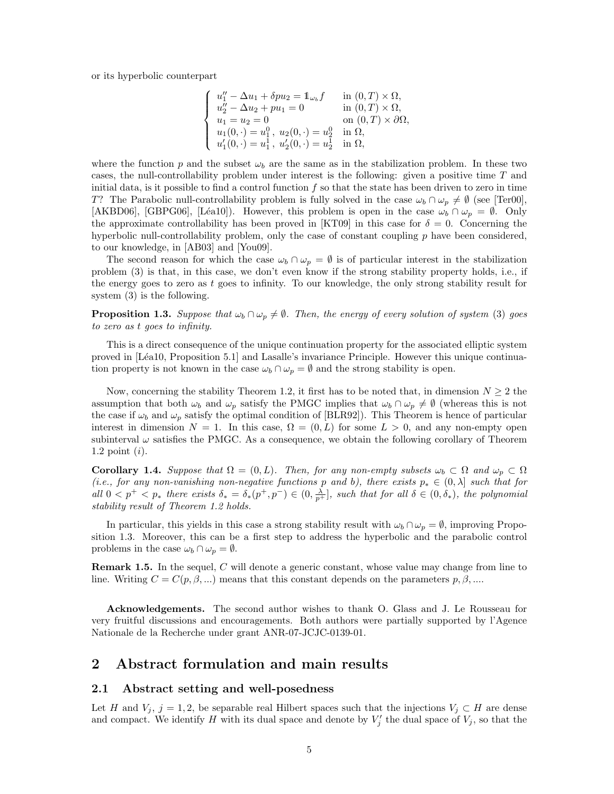or its hyperbolic counterpart

$$
\begin{cases}\nu''_1 - \Delta u_1 + \delta p u_2 = 1_{\omega_b} f & \text{in } (0, T) \times \Omega, \\
u''_2 - \Delta u_2 + p u_1 = 0 & \text{in } (0, T) \times \Omega, \\
u_1 = u_2 = 0 & \text{on } (0, T) \times \partial \Omega, \\
u_1(0, \cdot) = u_1^0, \ u_2(0, \cdot) = u_2^0 & \text{in } \Omega, \\
u'_1(0, \cdot) = u_1^1, \ u'_2(0, \cdot) = u_2^1 & \text{in } \Omega,\n\end{cases}
$$

where the function p and the subset  $\omega_b$  are the same as in the stabilization problem. In these two cases, the null-controllability problem under interest is the following: given a positive time  $T$  and initial data, is it possible to find a control function  $f$  so that the state has been driven to zero in time T? The Parabolic null-controllability problem is fully solved in the case  $\omega_b \cap \omega_p \neq \emptyset$  (see [Ter00], [AKBD06], [GBPG06], [Léa10]). However, this problem is open in the case  $\omega_b \cap \omega_p = \emptyset$ . Only the approximate controllability has been proved in [KT09] in this case for  $\delta = 0$ . Concerning the hyperbolic null-controllability problem, only the case of constant coupling  $p$  have been considered, to our knowledge, in [AB03] and [You09].

The second reason for which the case  $\omega_b \cap \omega_p = \emptyset$  is of particular interest in the stabilization problem (3) is that, in this case, we don't even know if the strong stability property holds, i.e., if the energy goes to zero as t goes to infinity. To our knowledge, the only strong stability result for system (3) is the following.

**Proposition 1.3.** Suppose that  $\omega_b \cap \omega_p \neq \emptyset$ . Then, the energy of every solution of system (3) goes to zero as t goes to infinity.

This is a direct consequence of the unique continuation property for the associated elliptic system proved in [Léa10, Proposition 5.1] and Lasalle's invariance Principle. However this unique continuation property is not known in the case  $\omega_b \cap \omega_p = \emptyset$  and the strong stability is open.

Now, concerning the stability Theorem 1.2, it first has to be noted that, in dimension  $N \geq 2$  the assumption that both  $\omega_b$  and  $\omega_p$  satisfy the PMGC implies that  $\omega_b \cap \omega_p \neq \emptyset$  (whereas this is not the case if  $\omega_b$  and  $\omega_p$  satisfy the optimal condition of [BLR92]). This Theorem is hence of particular interest in dimension  $N = 1$ . In this case,  $\Omega = (0, L)$  for some  $L > 0$ , and any non-empty open subinterval  $\omega$  satisfies the PMGC. As a consequence, we obtain the following corollary of Theorem 1.2 point  $(i)$ .

**Corollary 1.4.** Suppose that  $\Omega = (0, L)$ . Then, for any non-empty subsets  $\omega_b \subset \Omega$  and  $\omega_p \subset \Omega$ (i.e., for any non-vanishing non-negative functions p and b), there exists  $p_* \in (0, \lambda]$  such that for all  $0 < p^+ < p_*$  there exists  $\delta_* = \delta_*(p^+, p^-) \in (0, \frac{\lambda}{p^+}]$ , such that for all  $\delta \in (0, \delta_*)$ , the polynomial stability result of Theorem 1.2 holds.

In particular, this yields in this case a strong stability result with  $\omega_b \cap \omega_p = \emptyset$ , improving Proposition 1.3. Moreover, this can be a first step to address the hyperbolic and the parabolic control problems in the case  $\omega_b \cap \omega_p = \emptyset$ .

Remark 1.5. In the sequel, C will denote a generic constant, whose value may change from line to line. Writing  $C = C(p, \beta, ...)$  means that this constant depends on the parameters  $p, \beta, ...$ 

Acknowledgements. The second author wishes to thank O. Glass and J. Le Rousseau for very fruitful discussions and encouragements. Both authors were partially supported by l'Agence Nationale de la Recherche under grant ANR-07-JCJC-0139-01.

# 2 Abstract formulation and main results

### 2.1 Abstract setting and well-posedness

Let H and  $V_j$ ,  $j = 1, 2$ , be separable real Hilbert spaces such that the injections  $V_j \subset H$  are dense and compact. We identify H with its dual space and denote by  $V'_j$  the dual space of  $V_j$ , so that the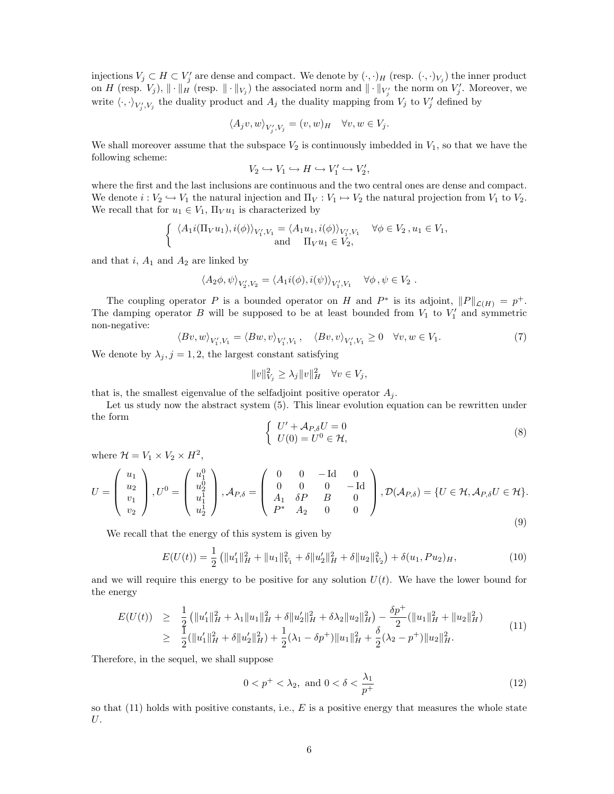injections  $V_j \subset H \subset V'_j$  are dense and compact. We denote by  $(\cdot, \cdot)_H$  (resp.  $(\cdot, \cdot)_{V_j}$ ) the inner product on H (resp.  $V_j$ ),  $\|\cdot\|_H$  (resp.  $\|\cdot\|_{V_j}$ ) the associated norm and  $\|\cdot\|_{V_j'}$  the norm on  $V_j'$ . Moreover, we write  $\langle \cdot, \cdot \rangle_{V'_j, V_j}$  the duality product and  $A_j$  the duality mapping from  $V_j$  to  $V'_j$  defined by

$$
\langle A_j v, w \rangle_{V'_j, V_j} = (v, w)_H \quad \forall v, w \in V_j.
$$

We shall moreover assume that the subspace  $V_2$  is continuously imbedded in  $V_1$ , so that we have the following scheme:

$$
V_2 \hookrightarrow V_1 \hookrightarrow H \hookrightarrow V_1' \hookrightarrow V_2',
$$

where the first and the last inclusions are continuous and the two central ones are dense and compact. We denote  $i: V_2 \hookrightarrow V_1$  the natural injection and  $\Pi_V : V_1 \mapsto V_2$  the natural projection from  $V_1$  to  $V_2$ . We recall that for  $u_1 \in V_1$ ,  $\Pi_V u_1$  is characterized by

$$
\begin{cases} \langle A_1 i(\Pi_V u_1), i(\phi) \rangle_{V_1', V_1} = \langle A_1 u_1, i(\phi) \rangle_{V_1', V_1} & \forall \phi \in V_2, u_1 \in V_1, \\ \text{and} & \Pi_V u_1 \in V_2, \end{cases}
$$

and that  $i$ ,  $A_1$  and  $A_2$  are linked by

$$
\langle A_2 \phi, \psi \rangle_{V_2', V_2} = \langle A_1 i(\phi), i(\psi) \rangle_{V_1', V_1} \quad \forall \phi, \psi \in V_2.
$$

The coupling operator P is a bounded operator on H and  $P^*$  is its adjoint,  $||P||_{\mathcal{L}(H)} = p^+$ . The damping operator  $B$  will be supposed to be at least bounded from  $V_1$  to  $V'_1$  and symmetric non-negative:

$$
\langle Bv, w \rangle_{V_1', V_1} = \langle Bw, v \rangle_{V_1', V_1}, \quad \langle Bv, v \rangle_{V_1', V_1} \ge 0 \quad \forall v, w \in V_1.
$$
 (7)

We denote by  $\lambda_j$ ,  $j = 1, 2$ , the largest constant satisfying

$$
||v||_{V_j}^2 \ge \lambda_j ||v||_H^2 \quad \forall v \in V_j,
$$

that is, the smallest eigenvalue of the selfadjoint positive operator  $A_i$ .

Let us study now the abstract system  $(5)$ . This linear evolution equation can be rewritten under the form

$$
\begin{cases}\nU' + A_{P,\delta}U = 0\\ U(0) = U^0 \in \mathcal{H},\n\end{cases}
$$
\n(8)

where  $\mathcal{H} = V_1 \times V_2 \times H^2$ ,

$$
U = \begin{pmatrix} u_1 \\ u_2 \\ v_1 \\ v_2 \end{pmatrix}, U^0 = \begin{pmatrix} u_1^0 \\ u_2^0 \\ u_1^1 \\ u_2^1 \end{pmatrix}, \mathcal{A}_{P,\delta} = \begin{pmatrix} 0 & 0 & -\mathrm{Id} & 0 \\ 0 & 0 & 0 & -\mathrm{Id} \\ A_1 & \delta P & B & 0 \\ P^* & A_2 & 0 & 0 \end{pmatrix}, \mathcal{D}(\mathcal{A}_{P,\delta}) = \{U \in \mathcal{H}, \mathcal{A}_{P,\delta} U \in \mathcal{H}\}.
$$
\n(9)

We recall that the energy of this system is given by

$$
E(U(t)) = \frac{1}{2} \left( \|u_1'\|_H^2 + \|u_1\|_{V_1}^2 + \delta \|u_2'\|_H^2 + \delta \|u_2\|_{V_2}^2 \right) + \delta(u_1, Pu_2)_H, \tag{10}
$$

and we will require this energy to be positive for any solution  $U(t)$ . We have the lower bound for the energy

$$
E(U(t)) \geq \frac{1}{2} \left( \|u_1'\|_H^2 + \lambda_1 \|u_1\|_H^2 + \delta \|u_2'\|_H^2 + \delta \lambda_2 \|u_2\|_H^2 \right) - \frac{\delta p^+}{2} (\|u_1\|_H^2 + \|u_2\|_H^2)
$$
  
\n
$$
\geq \frac{1}{2} (\|u_1'\|_H^2 + \delta \|u_2'\|_H^2) + \frac{1}{2} (\lambda_1 - \delta p^+) \|u_1\|_H^2 + \frac{\delta}{2} (\lambda_2 - p^+) \|u_2\|_H^2.
$$
\n(11)

Therefore, in the sequel, we shall suppose

$$
0 < p^+ < \lambda_2, \text{ and } 0 < \delta < \frac{\lambda_1}{p^+} \tag{12}
$$

so that  $(11)$  holds with positive constants, i.e., E is a positive energy that measures the whole state U.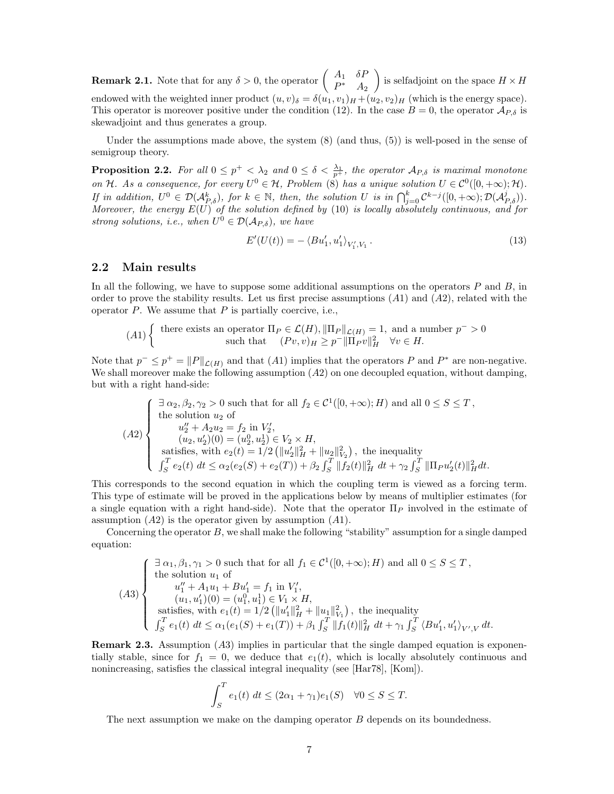**Remark 2.1.** Note that for any  $\delta > 0$ , the operator  $\begin{pmatrix} A_1 & \delta P_1 \\ R_1 & A_2 \end{pmatrix}$  $P^*$   $A_2$ is selfadjoint on the space  $H \times H$ endowed with the weighted inner product  $(u, v)_{\delta} = \delta(u_1, v_1)_{H} + (u_2, v_2)_{H}$  (which is the energy space). This operator is moreover positive under the condition (12). In the case  $B = 0$ , the operator  $\mathcal{A}_{P,\delta}$  is skewadjoint and thus generates a group.

Under the assumptions made above, the system  $(8)$  (and thus,  $(5)$ ) is well-posed in the sense of semigroup theory.

**Proposition 2.2.** For all  $0 \leq p^+ < \lambda_2$  and  $0 \leq \delta < \frac{\lambda_1}{p^+}$ , the operator  $\mathcal{A}_{P,\delta}$  is maximal monotone on H. As a consequence, for every  $U^0 \in \mathcal{H}$ , Problem (8) has a unique solution  $U \in C^0([0, +\infty); \mathcal{H})$ . If in addition,  $U^0 \in \mathcal{D}(\mathcal{A}_{P,\delta}^k)$ , for  $k \in \mathbb{N}$ , then, the solution U is in  $\bigcap_{j=0}^k C^{k-j}([0,+\infty); \mathcal{D}(\mathcal{A}_{P,\delta}^j)).$ Moreover, the energy  $E(U)$  of the solution defined by (10) is locally absolutely continuous, and for strong solutions, i.e., when  $U^0 \in \mathcal{D}(\mathcal{A}_{P,\delta})$ , we have

$$
E'(U(t)) = -\langle Bu'_1, u'_1 \rangle_{V'_1, V_1}.
$$
\n(13)

### 2.2 Main results

In all the following, we have to suppose some additional assumptions on the operators  $P$  and  $B$ , in order to prove the stability results. Let us first precise assumptions  $(A1)$  and  $(A2)$ , related with the operator  $P$ . We assume that  $P$  is partially coercive, i.e.,

$$
(A1) \left\{ \begin{array}{c} \text{there exists an operator } \Pi_P \in \mathcal{L}(H), ||\Pi_P||_{\mathcal{L}(H)} = 1, \text{ and a number } p^- > 0\\ \text{such that } \quad (Pv, v)_H \ge p^- ||\Pi_P v||_H^2 \quad \forall v \in H. \end{array} \right.
$$

Note that  $p^- \leq p^+ = ||P||_{\mathcal{L}(H)}$  and that  $(A1)$  implies that the operators P and P<sup>\*</sup> are non-negative. We shall moreover make the following assumption  $(A2)$  on one decoupled equation, without damping, but with a right hand-side:

$$
(A2) \begin{cases} \n\exists \alpha_2, \beta_2, \gamma_2 > 0 \text{ such that for all } f_2 \in \mathcal{C}^1([0, +\infty); H) \text{ and all } 0 \le S \le T, \\ \n\text{the solution } u_2 \text{ of } \\ \n u_2'' + A_2 u_2 = f_2 \text{ in } V_2', \\ \n\text{in } (u_2, u_2')(0) = (u_2^0, u_2^1) \in V_2 \times H, \\ \n\text{satisfies, with } e_2(t) = 1/2 \left( \|u_2'\|_H^2 + \|u_2\|_{V_2}^2 \right), \text{ the inequality} \\ \n\int_S^T e_2(t) \, dt \le \alpha_2(e_2(S) + e_2(T)) + \beta_2 \int_S^T \|f_2(t)\|_H^2 \, dt + \gamma_2 \int_S^T \| \Pi_P u_2'(t) \|_H^2 dt. \n\end{cases}
$$

This corresponds to the second equation in which the coupling term is viewed as a forcing term. This type of estimate will be proved in the applications below by means of multiplier estimates (for a single equation with a right hand-side). Note that the operator  $\Pi_P$  involved in the estimate of assumption  $(A2)$  is the operator given by assumption  $(A1)$ .

Concerning the operator  $B$ , we shall make the following "stability" assumption for a single damped equation:

$$
(A3) \begin{cases} \n\exists \alpha_1, \beta_1, \gamma_1 > 0 \text{ such that for all } f_1 \in \mathcal{C}^1([0, +\infty); H) \text{ and all } 0 \le S \le T, \\ \n\text{the solution } u_1 \text{ of} \\ \n\begin{aligned}\n& u''_1 + A_1 u_1 + B u'_1 = f_1 \text{ in } V'_1, \\
& (u_1, u'_1)(0) = (u_1^0, u_1^1) \in V_1 \times H, \\
& \text{satisfies, with } e_1(t) = 1/2 \left( \|u'_1\|_H^2 + \|u_1\|_{V_1}^2 \right), \text{ the inequality} \\
& \int_S^T e_1(t) \, dt \le \alpha_1(e_1(S) + e_1(T)) + \beta_1 \int_S^T \|f_1(t)\|_H^2 \, dt + \gamma_1 \int_S^T \langle Bu'_1, u'_1 \rangle_{V', V} \, dt.\n\end{aligned}
$$

**Remark 2.3.** Assumption  $(A3)$  implies in particular that the single damped equation is exponentially stable, since for  $f_1 = 0$ , we deduce that  $e_1(t)$ , which is locally absolutely continuous and nonincreasing, satisfies the classical integral inequality (see [Har78], [Kom]).

$$
\int_{S}^{T} e_1(t) dt \le (2\alpha_1 + \gamma_1)e_1(S) \quad \forall 0 \le S \le T.
$$

The next assumption we make on the damping operator B depends on its boundedness.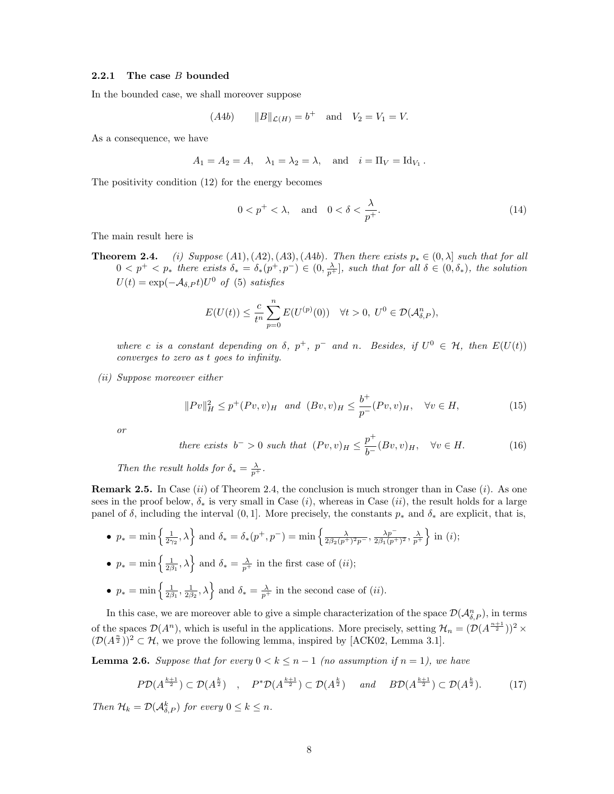#### 2.2.1 The case B bounded

In the bounded case, we shall moreover suppose

$$
(A4b)
$$
  $||B||_{\mathcal{L}(H)} = b^+$  and  $V_2 = V_1 = V$ .

As a consequence, we have

$$
A_1 = A_2 = A, \quad \lambda_1 = \lambda_2 = \lambda, \quad \text{and} \quad i = \Pi_V = \text{Id}_{V_1}.
$$

The positivity condition (12) for the energy becomes

$$
0 < p^+ < \lambda, \quad \text{and} \quad 0 < \delta < \frac{\lambda}{p^+}.\tag{14}
$$

The main result here is

**Theorem 2.4.** (i) Suppose (A1),(A2),(A3),(A4b). Then there exists  $p_* \in (0, \lambda]$  such that for all  $0 \leq p^+ \leq p_*$  there exists  $\delta_* = \delta_*(p^+, p^-) \in (0, \frac{\lambda}{p^+})$ , such that for all  $\delta \in (0, \delta_*)$ , the solution  $U(t) = \exp(-\mathcal{A}_{\delta,P}t)U^0$  of (5) satisfies

$$
E(U(t)) \leq \frac{c}{t^n} \sum_{p=0}^n E(U^{(p)}(0)) \quad \forall t > 0, \ U^0 \in \mathcal{D}(\mathcal{A}_{\delta,P}^n),
$$

where c is a constant depending on  $\delta$ ,  $p^+$ ,  $p^-$  and n. Besides, if  $U^0 \in \mathcal{H}$ , then  $E(U(t))$ converges to zero as t goes to infinity.

(ii) Suppose moreover either

$$
||Pv||_H^2 \le p^+(Pv, v)_H \quad and \quad (Bv, v)_H \le \frac{b^+}{p^-}(Pv, v)_H, \quad \forall v \in H,
$$
\n(15)

or

there exists 
$$
b^{-} > 0
$$
 such that  $(Pv, v)_H \leq \frac{p^{+}}{b^{-}} (Bv, v)_H$ ,  $\forall v \in H$ . (16)

Then the result holds for  $\delta_* = \frac{\lambda}{p^+}$ .

**Remark 2.5.** In Case (ii) of Theorem 2.4, the conclusion is much stronger than in Case (i). As one sees in the proof below,  $\delta_*$  is very small in Case (i), whereas in Case (ii), the result holds for a large panel of  $\delta$ , including the interval (0, 1]. More precisely, the constants  $p_*$  and  $\delta_*$  are explicit, that is,

•  $p_* = \min\left\{\frac{1}{2\gamma_2}, \lambda\right\}$  and  $\delta_* = \delta_*(p^+, p^-) = \min\left\{\frac{\lambda}{2\beta_2(p^+)^2p^-}, \frac{\lambda p^-}{2\beta_1(p^+)^2p^-}\right\}$  $\frac{\lambda p^{-}}{2\beta_1 (p^{+})^2}, \frac{\lambda}{p^{+}}$  in (*i*);

• 
$$
p_* = \min\left\{\frac{1}{2\beta_1}, \lambda\right\}
$$
 and  $\delta_* = \frac{\lambda}{p^+}$  in the first case of *(ii)*;

•  $p_* = \min\left\{\frac{1}{2\beta_1}, \frac{1}{2\beta_2}, \lambda\right\}$  and  $\delta_* = \frac{\lambda}{p^+}$  in the second case of  $(ii)$ .

In this case, we are moreover able to give a simple characterization of the space  $\mathcal{D}(\mathcal{A}_{\delta,P}^n)$ , in terms of the spaces  $\mathcal{D}(A^n)$ , which is useful in the applications. More precisely, setting  $\mathcal{H}_n = (\mathcal{D}(A^{\frac{n+1}{2}}))^2 \times$  $(\mathcal{D}(A^{\frac{n}{2}}))^2 \subset \mathcal{H}$ , we prove the following lemma, inspired by [ACK02, Lemma 3.1].

**Lemma 2.6.** Suppose that for every  $0 < k \leq n-1$  (no assumption if  $n = 1$ ), we have

$$
P\mathcal{D}(A^{\frac{k+1}{2}}) \subset \mathcal{D}(A^{\frac{k}{2}}) \quad , \quad P^*\mathcal{D}(A^{\frac{k+1}{2}}) \subset \mathcal{D}(A^{\frac{k}{2}}) \quad \text{and} \quad B\mathcal{D}(A^{\frac{k+1}{2}}) \subset \mathcal{D}(A^{\frac{k}{2}}). \tag{17}
$$

Then  $\mathcal{H}_k = \mathcal{D}(\mathcal{A}_{\delta,P}^k)$  for every  $0 \leq k \leq n$ .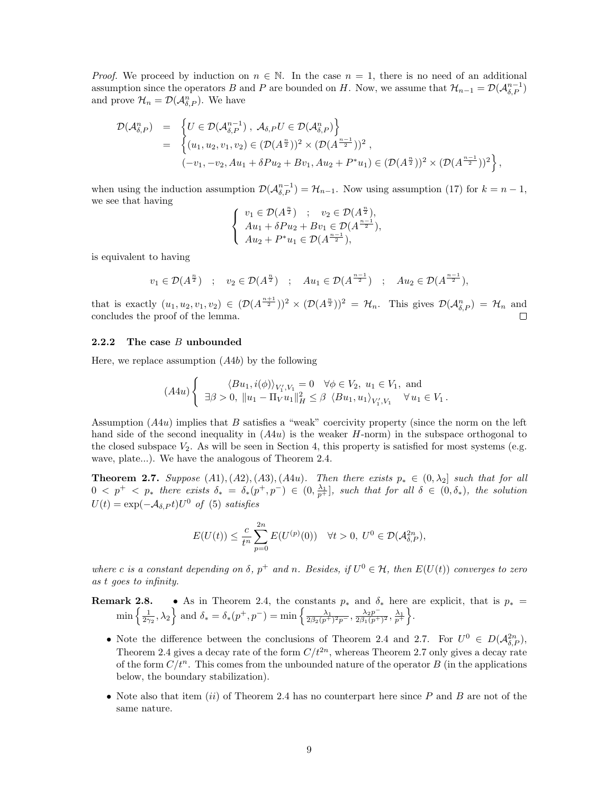*Proof.* We proceed by induction on  $n \in \mathbb{N}$ . In the case  $n = 1$ , there is no need of an additional assumption since the operators B and P are bounded on H. Now, we assume that  $\mathcal{H}_{n-1} = \mathcal{D}(\mathcal{A}_{\delta,P}^{n-1})$ and prove  $\mathcal{H}_n = \mathcal{D}(\mathcal{A}_{\delta,P}^n)$ . We have

$$
\mathcal{D}(\mathcal{A}_{\delta,P}^n) = \left\{ U \in \mathcal{D}(\mathcal{A}_{\delta,P}^{n-1}), \ \mathcal{A}_{\delta,P} U \in \mathcal{D}(\mathcal{A}_{\delta,P}^n) \right\}
$$
  
\n
$$
= \left\{ (u_1, u_2, v_1, v_2) \in (\mathcal{D}(A^{\frac{n}{2}}))^2 \times (\mathcal{D}(A^{\frac{n-1}{2}}))^2 ,
$$
  
\n
$$
(-v_1, -v_2, Au_1 + \delta Pu_2 + Bv_1, Au_2 + P^*u_1) \in (\mathcal{D}(A^{\frac{n}{2}}))^2 \times (\mathcal{D}(A^{\frac{n-1}{2}}))^2 \right\},
$$

when using the induction assumption  $\mathcal{D}(\mathcal{A}_{\delta,P}^{n-1}) = \mathcal{H}_{n-1}$ . Now using assumption (17) for  $k = n-1$ , we see that having  $\overline{n}$ n

$$
\begin{cases} v_1 \in \mathcal{D}(A^{\frac{n}{2}}) & ; \quad v_2 \in \mathcal{D}(A^{\frac{n}{2}}), \\ Au_1 + \delta Pu_2 + Bv_1 \in \mathcal{D}(A^{\frac{n-1}{2}}), \\ Au_2 + P^*u_1 \in \mathcal{D}(A^{\frac{n-1}{2}}), \end{cases}
$$

is equivalent to having

$$
v_1 \in \mathcal{D}(A^{\frac{n}{2}})
$$
 ;  $v_2 \in \mathcal{D}(A^{\frac{n}{2}})$  ;  $Au_1 \in \mathcal{D}(A^{\frac{n-1}{2}})$  ;  $Au_2 \in \mathcal{D}(A^{\frac{n-1}{2}})$ ,

that is exactly  $(u_1, u_2, v_1, v_2) \in (\mathcal{D}(A^{\frac{n+1}{2}}))^2 \times (\mathcal{D}(A^{\frac{n}{2}}))^2 = \mathcal{H}_n$ . This gives  $\mathcal{D}(\mathcal{A}_{\delta,P}^n) = \mathcal{H}_n$  and concludes the proof of the lemma.

#### 2.2.2 The case B unbounded

Here, we replace assumption  $(A4b)$  by the following

$$
(A4u) \left\{ \begin{array}{ll} \langle Bu_1, i(\phi) \rangle_{V_1', V_1} = 0 \quad \forall \phi \in V_2, \ u_1 \in V_1, \ \text{and} \\ \exists \beta > 0, \ \|u_1 - \Pi_V u_1\|_H^2 \le \beta \ \langle Bu_1, u_1 \rangle_{V_1', V_1} \quad \forall \ u_1 \in V_1. \end{array} \right.
$$

Assumption  $(A4u)$  implies that B satisfies a "weak" coercivity property (since the norm on the left hand side of the second inequality in  $(A4u)$  is the weaker H-norm) in the subspace orthogonal to the closed subspace  $V_2$ . As will be seen in Section 4, this property is satisfied for most systems (e.g. wave, plate...). We have the analogous of Theorem 2.4.

**Theorem 2.7.** Suppose  $(A1), (A2), (A3), (A4u)$ . Then there exists  $p_* \in (0, \lambda_2]$  such that for all  $0 \leq p^+ \leq p_*$  there exists  $\delta_* = \delta_*(p^+, p^-) \in (0, \frac{\lambda_1}{p^+}],$  such that for all  $\delta \in (0, \delta_*),$  the solution  $U(t) = \exp(-\mathcal{A}_{\delta,P}t)U^0$  of (5) satisfies

$$
E(U(t)) \leq \frac{c}{t^n} \sum_{p=0}^{2n} E(U^{(p)}(0)) \quad \forall t > 0, \ U^0 \in \mathcal{D}(\mathcal{A}_{\delta,P}^{2n}),
$$

where c is a constant depending on  $\delta$ ,  $p^+$  and n. Besides, if  $U^0 \in \mathcal{H}$ , then  $E(U(t))$  converges to zero as t goes to infinity.

**Remark 2.8.** • As in Theorem 2.4, the constants  $p_*$  and  $\delta_*$  here are explicit, that is  $p_*$  =  $\min\left\{\frac{1}{2\gamma_2},\lambda_2\right\}$  and  $\delta_* = \delta_*(p^+,p^-) = \min\left\{\frac{\lambda_1}{2\beta_2(p^+)^2p^-},\frac{\lambda_2p^-}{2\beta_1(p^+)^2} \right\}$  $\frac{\lambda_2 p^-}{2\beta_1 (p^+)^2}, \frac{\lambda_1}{p^+}\bigg\}.$ 

- Note the difference between the conclusions of Theorem 2.4 and 2.7. For  $U^0 \in D(\mathcal{A}_{\delta,P}^{2n})$ , Theorem 2.4 gives a decay rate of the form  $C/t^{2n}$ , whereas Theorem 2.7 only gives a decay rate of the form  $C/t^n$ . This comes from the unbounded nature of the operator B (in the applications below, the boundary stabilization).
- Note also that item (ii) of Theorem 2.4 has no counterpart here since  $P$  and  $B$  are not of the same nature.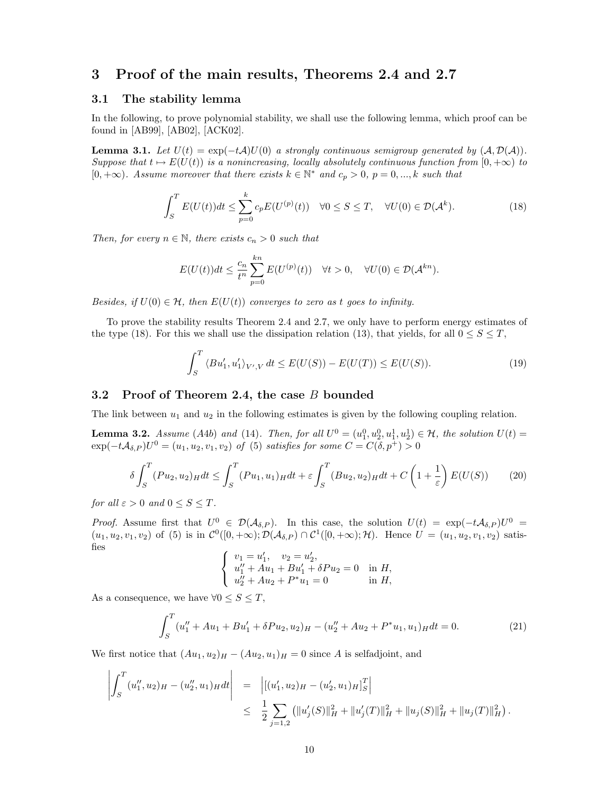### 3 Proof of the main results, Theorems 2.4 and 2.7

### 3.1 The stability lemma

In the following, to prove polynomial stability, we shall use the following lemma, which proof can be found in [AB99], [AB02], [ACK02].

**Lemma 3.1.** Let  $U(t) = \exp(-tA)U(0)$  a strongly continuous semigroup generated by  $(A, D(A))$ . Suppose that  $t \mapsto E(U(t))$  is a nonincreasing, locally absolutely continuous function from  $[0, +\infty)$  to [0, + $\infty$ ). Assume moreover that there exists  $k \in \mathbb{N}^*$  and  $c_p > 0$ ,  $p = 0, ..., k$  such that

$$
\int_{S}^{T} E(U(t))dt \leq \sum_{p=0}^{k} c_p E(U^{(p)}(t)) \quad \forall 0 \leq S \leq T, \quad \forall U(0) \in \mathcal{D}(\mathcal{A}^{k}).
$$
\n(18)

Then, for every  $n \in \mathbb{N}$ , there exists  $c_n > 0$  such that

$$
E(U(t))dt \le \frac{c_n}{t^n} \sum_{p=0}^{kn} E(U^{(p)}(t)) \quad \forall t > 0, \quad \forall U(0) \in \mathcal{D}(\mathcal{A}^{kn}).
$$

Besides, if  $U(0) \in \mathcal{H}$ , then  $E(U(t))$  converges to zero as t goes to infinity.

To prove the stability results Theorem 2.4 and 2.7, we only have to perform energy estimates of the type (18). For this we shall use the dissipation relation (13), that yields, for all  $0 \leq S \leq T$ ,

$$
\int_{S}^{T} \langle Bu_1', u_1' \rangle_{V',V} dt \le E(U(S)) - E(U(T)) \le E(U(S)).
$$
\n(19)

### 3.2 Proof of Theorem 2.4, the case B bounded

The link between  $u_1$  and  $u_2$  in the following estimates is given by the following coupling relation.

**Lemma 3.2.** Assume (A4b) and (14). Then, for all  $U^0 = (u_1^0, u_2^0, u_1^1, u_2^1) \in \mathcal{H}$ , the solution  $U(t) =$  $\exp(-t\mathcal{A}_{\delta,P})U^0 = (u_1, u_2, v_1, v_2)$  of (5) satisfies for some  $C = C(\delta, p^+) > 0$ 

$$
\delta \int_{S}^{T} (Pu_2, u_2)_H dt \le \int_{S}^{T} (Pu_1, u_1)_H dt + \varepsilon \int_{S}^{T} (Bu_2, u_2)_H dt + C \left( 1 + \frac{1}{\varepsilon} \right) E(U(S)) \tag{20}
$$

for all  $\varepsilon > 0$  and  $0 \leq S \leq T$ .

Proof. Assume first that  $U^0 \in \mathcal{D}(\mathcal{A}_{\delta,P})$ . In this case, the solution  $U(t) = \exp(-t\mathcal{A}_{\delta,P})U^0 =$  $(u_1, u_2, v_1, v_2)$  of (5) is in  $\mathcal{C}^0([0, +\infty); \mathcal{D}(\mathcal{A}_{\delta, P}) \cap \mathcal{C}^1([0, +\infty); \mathcal{H})$ . Hence  $U = (u_1, u_2, v_1, v_2)$  satisfies  $\overline{1}$  $\prime$ 

$$
\begin{cases}\nv_1 = u'_1, & v_2 = u'_2, \\
u''_1 + Au_1 + Bu'_1 + \delta Pu_2 = 0 & \text{in } H, \\
u''_2 + Au_2 + P^*u_1 = 0 & \text{in } H,\n\end{cases}
$$

As a consequence, we have  $\forall 0 \leq S \leq T$ ,

$$
\int_{S}^{T} (u''_1 + Au_1 + Bu'_1 + \delta Pu_2, u_2)_{H} - (u''_2 + Au_2 + P^*u_1, u_1)_{H} dt = 0.
$$
 (21)

We first notice that  $(Au_1, u_2)_{H} - (Au_2, u_1)_{H} = 0$  since A is selfadjoint, and

$$
\left| \int_{S}^{T} (u''_1, u_2)_{H} - (u''_2, u_1)_{H} dt \right| = \left| [(u'_1, u_2)_{H} - (u'_2, u_1)_{H}]_{S}^{T} \right|
$$
  

$$
\leq \frac{1}{2} \sum_{j=1,2} (||u'_{j}(S)||_{H}^{2} + ||u'_{j}(T)||_{H}^{2} + ||u_{j}(S)||_{H}^{2} + ||u_{j}(T)||_{H}^{2}).
$$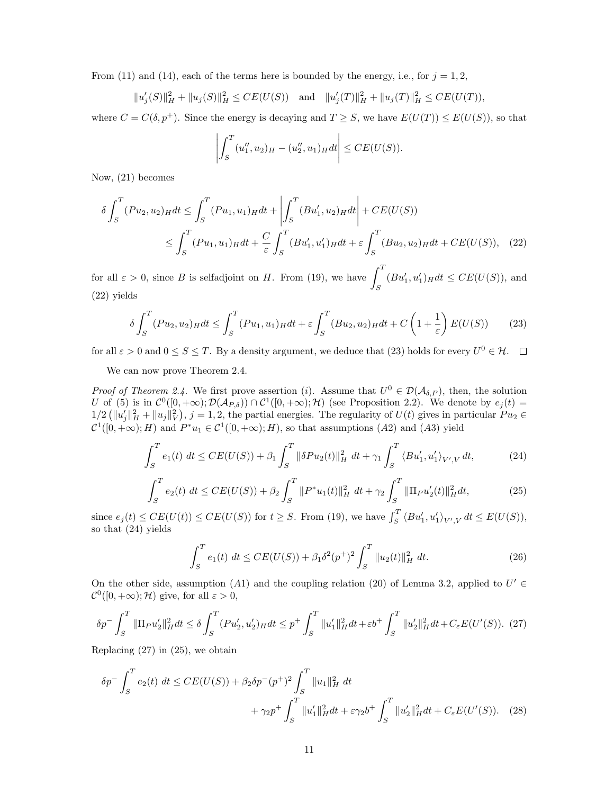From (11) and (14), each of the terms here is bounded by the energy, i.e., for  $j = 1, 2$ ,

$$
||u'_{j}(S)||_{H}^{2} + ||u_{j}(S)||_{H}^{2} \le CE(U(S)) \text{ and } ||u'_{j}(T)||_{H}^{2} + ||u_{j}(T)||_{H}^{2} \le CE(U(T)),
$$

where  $C = C(\delta, p^+)$ . Since the energy is decaying and  $T \geq S$ , we have  $E(U(T)) \leq E(U(S))$ , so that

$$
\left| \int_{S}^{T} (u''_1, u_2)_{H} - (u''_2, u_1)_{H} dt \right| \leq CE(U(S)).
$$

Now, (21) becomes

$$
\delta \int_{S}^{T} (Pu_{2}, u_{2})_{H} dt \le \int_{S}^{T} (Pu_{1}, u_{1})_{H} dt + \left| \int_{S}^{T} (Bu'_{1}, u_{2})_{H} dt \right| + CE(U(S))
$$
  

$$
\le \int_{S}^{T} (Pu_{1}, u_{1})_{H} dt + \frac{C}{\varepsilon} \int_{S}^{T} (Bu'_{1}, u'_{1})_{H} dt + \varepsilon \int_{S}^{T} (Bu_{2}, u_{2})_{H} dt + CE(U(S)), \quad (22)
$$

for all  $\varepsilon > 0$ , since B is selfadjoint on H. From (19), we have  $\int_0^T$ S  $(Bu'_1, u'_1)_{H}dt \leq CE(U(S)),$  and (22) yields

$$
\delta \int_{S}^{T} (Pu_2, u_2)_H dt \le \int_{S}^{T} (Pu_1, u_1)_H dt + \varepsilon \int_{S}^{T} (Bu_2, u_2)_H dt + C \left( 1 + \frac{1}{\varepsilon} \right) E(U(S)) \tag{23}
$$

for all  $\varepsilon > 0$  and  $0 \le S \le T$ . By a density argument, we deduce that (23) holds for every  $U^0 \in \mathcal{H}$ .

We can now prove Theorem 2.4.

*Proof of Theorem 2.4.* We first prove assertion (*i*). Assume that  $U^0 \in \mathcal{D}(\mathcal{A}_{\delta,P})$ , then, the solution U of (5) is in  $\mathcal{C}^0([0,+\infty); \mathcal{D}(\mathcal{A}_{P,\delta})) \cap \mathcal{C}^1([0,+\infty); \mathcal{H})$  (see Proposition 2.2). We denote by  $e_j(t) =$  $1/2 \left( \|u'_j\|_H^2 + \|u_j\|_V^2 \right), j = 1, 2$ , the partial energies. The regularity of  $U(t)$  gives in particular  $Pu_2 \in$  $\mathcal{C}^1([0,+\infty);H)$  and  $P^*u_1 \in \mathcal{C}^1([0,+\infty);H)$ , so that assumptions  $(A2)$  and  $(A3)$  yield

$$
\int_{S}^{T} e_{1}(t) dt \le CE(U(S)) + \beta_{1} \int_{S}^{T} \|\delta Pu_{2}(t)\|_{H}^{2} dt + \gamma_{1} \int_{S}^{T} \langle Bu'_{1}, u'_{1} \rangle_{V',V} dt,
$$
\n(24)

$$
\int_{S}^{T} e_2(t) dt \le CE(U(S)) + \beta_2 \int_{S}^{T} ||P^*u_1(t)||_H^2 dt + \gamma_2 \int_{S}^{T} ||\Pi_P u_2'(t)||_H^2 dt,
$$
\n(25)

since  $e_j(t) \leq CE(U(t)) \leq CE(U(S))$  for  $t \geq S$ . From (19), we have  $\int_S^T \langle Bu'_1, u'_1 \rangle_{V',V} dt \leq E(U(S)),$ so that (24) yields

$$
\int_{S}^{T} e_1(t) dt \le CE(U(S)) + \beta_1 \delta^2(p^+)^2 \int_{S}^{T} ||u_2(t)||_{H}^{2} dt.
$$
 (26)

On the other side, assumption (A1) and the coupling relation (20) of Lemma 3.2, applied to  $U' \in$  $\mathcal{C}^0([0,+\infty);\mathcal{H})$  give, for all  $\varepsilon > 0$ ,

$$
\delta p^{-} \int_{S}^{T} \|\Pi_{P} u_{2}'\|_{H}^{2} dt \leq \delta \int_{S}^{T} (Pu_{2}', u_{2}')_{H} dt \leq p^{+} \int_{S}^{T} \|u_{1}'\|_{H}^{2} dt + \varepsilon b^{+} \int_{S}^{T} \|u_{2}'\|_{H}^{2} dt + C_{\varepsilon} E(U'(S)).
$$
 (27)

Replacing  $(27)$  in  $(25)$ , we obtain

$$
\delta p^{-} \int_{S}^{T} e_2(t) dt \le CE(U(S)) + \beta_2 \delta p^{-}(p^{+})^2 \int_{S}^{T} \|u_1\|_{H}^{2} dt + \gamma_2 p^{+} \int_{S}^{T} \|u_1'\|_{H}^{2} dt + \varepsilon \gamma_2 b^{+} \int_{S}^{T} \|u_2'\|_{H}^{2} dt + C_{\varepsilon} E(U'(S)).
$$
 (28)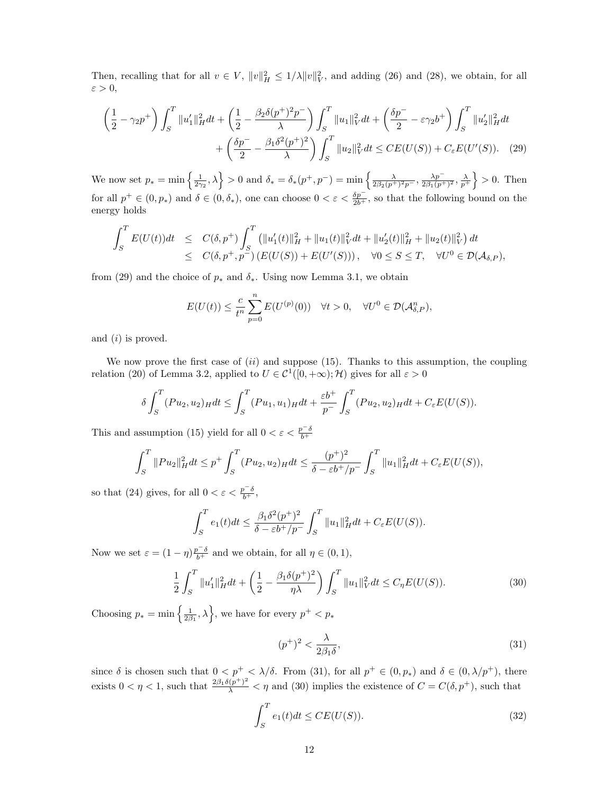Then, recalling that for all  $v \in V$ ,  $||v||_H^2 \le 1/\lambda ||v||_V^2$ , and adding (26) and (28), we obtain, for all  $\varepsilon > 0$ ,

$$
\left(\frac{1}{2} - \gamma_2 p^+\right) \int_S^T \|u_1'\|_H^2 dt + \left(\frac{1}{2} - \frac{\beta_2 \delta(p^+)^2 p^-}{\lambda}\right) \int_S^T \|u_1\|_V^2 dt + \left(\frac{\delta p^-}{2} - \varepsilon \gamma_2 b^+\right) \int_S^T \|u_2'\|_H^2 dt
$$

$$
+ \left(\frac{\delta p^-}{2} - \frac{\beta_1 \delta^2(p^+)^2}{\lambda}\right) \int_S^T \|u_2\|_V^2 dt \le CE(U(S)) + C_{\varepsilon} E(U'(S)). \quad (29)
$$

We now set  $p_* = \min\left\{\frac{1}{2\gamma_2},\lambda\right\} > 0$  and  $\delta_* = \delta_*(p^+,p^-) = \min\left\{\frac{\lambda}{2\beta_2(p^+)^2p^-},\frac{\lambda p^-}{2\beta_1(p^+)^2p^-}\right\}$  $\frac{\lambda p^-}{2\beta_1(p^+)^2}, \frac{\lambda}{p^+}\bigg\} > 0.$  Then for all  $p^+ \in (0, p_*)$  and  $\delta \in (0, \delta_*)$ , one can choose  $0 < \varepsilon < \frac{\delta p^-}{2b^+}$ , so that the following bound on the energy holds

$$
\int_{S}^{T} E(U(t))dt \leq C(\delta, p^{+}) \int_{S}^{T} (||u'_{1}(t)||_{H}^{2} + ||u_{1}(t)||_{V}^{2} dt + ||u'_{2}(t)||_{H}^{2} + ||u_{2}(t)||_{V}^{2}) dt \leq C(\delta, p^{+}, p^{-}) (E(U(S)) + E(U'(S))), \quad \forall 0 \leq S \leq T, \quad \forall U^{0} \in \mathcal{D}(\mathcal{A}_{\delta, P}),
$$

from (29) and the choice of  $p_*$  and  $\delta_*$ . Using now Lemma 3.1, we obtain

$$
E(U(t)) \leq \frac{c}{t^n} \sum_{p=0}^n E(U^{(p)}(0)) \quad \forall t > 0, \quad \forall U^0 \in \mathcal{D}(\mathcal{A}_{\delta,P}^n),
$$

and  $(i)$  is proved.

We now prove the first case of  $(ii)$  and suppose (15). Thanks to this assumption, the coupling relation (20) of Lemma 3.2, applied to  $U \in \mathcal{C}^1([0, +\infty); \mathcal{H})$  gives for all  $\varepsilon > 0$ 

$$
\delta \int_S^T (Pu_2, u_2)_H dt \le \int_S^T (Pu_1, u_1)_H dt + \frac{\varepsilon b^+}{p^-} \int_S^T (Pu_2, u_2)_H dt + C_{\varepsilon} E(U(S)).
$$

This and assumption (15) yield for all  $0 < \varepsilon < \frac{p^{-\delta}}{b^{+}}$ 

$$
\int_{S}^{T} \|Pu_{2}\|_{H}^{2} dt \leq p^{+} \int_{S}^{T} (Pu_{2}, u_{2})_{H} dt \leq \frac{(p^{+})^{2}}{\delta - \varepsilon b^{+}/p^{-}} \int_{S}^{T} \|u_{1}\|_{H}^{2} dt + C_{\varepsilon} E(U(S)),
$$

so that (24) gives, for all  $0 < \varepsilon < \frac{p^{-\delta}}{b^{+}},$ 

$$
\int_{S}^{T} e_1(t)dt \leq \frac{\beta_1 \delta^2 (p^+)^2}{\delta - \varepsilon b^+ / p^-} \int_{S}^{T} ||u_1||_H^2 dt + C_{\varepsilon} E(U(S)).
$$

Now we set  $\varepsilon = (1 - \eta) \frac{p - \delta}{b^+}$  and we obtain, for all  $\eta \in (0, 1)$ ,

$$
\frac{1}{2} \int_{S}^{T} \|u_{1}'\|_{H}^{2} dt + \left(\frac{1}{2} - \frac{\beta_{1}\delta(p^{+})^{2}}{\eta\lambda}\right) \int_{S}^{T} \|u_{1}\|_{V}^{2} dt \le C_{\eta} E(U(S)).
$$
\n(30)

Choosing  $p_* = \min\left\{\frac{1}{2\beta_1}, \lambda\right\}$ , we have for every  $p^+ < p_*$ 

$$
(p^+)^2 < \frac{\lambda}{2\beta_1\delta},\tag{31}
$$

since  $\delta$  is chosen such that  $0 < p^+ < \lambda/\delta$ . From (31), for all  $p^+ \in (0, p_*)$  and  $\delta \in (0, \lambda/p^+)$ , there exists  $0 < \eta < 1$ , such that  $\frac{2\beta_1\delta(p^+)^2}{\lambda} < \eta$  and (30) implies the existence of  $C = C(\delta, p^+)$ , such that

$$
\int_{S}^{T} e_1(t)dt \le CE(U(S)).
$$
\n(32)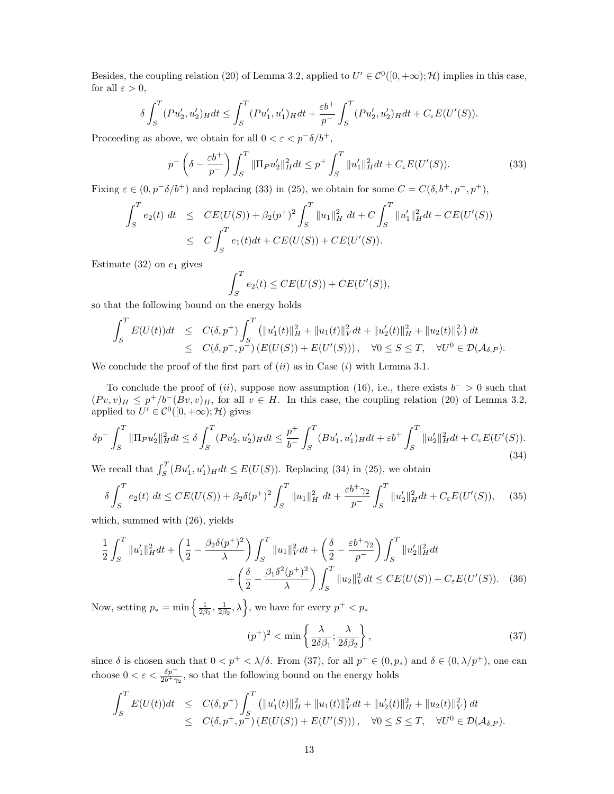Besides, the coupling relation (20) of Lemma 3.2, applied to  $U' \in C^0([0, +\infty); \mathcal{H})$  implies in this case, for all  $\varepsilon > 0$ ,

$$
\delta \int_S^T (Pu_2', u_2')_H dt \leq \int_S^T (Pu_1', u_1')_H dt + \frac{\varepsilon b^+}{p^-} \int_S^T (Pu_2', u_2')_H dt + C_{\varepsilon} E(U'(S)).
$$

Proceeding as above, we obtain for all  $0 < \varepsilon < p^-\delta/b^+,$ 

$$
p^{-}\left(\delta - \frac{\varepsilon b^{+}}{p^{-}}\right) \int_{S}^{T} \|\Pi_{P}u_{2}'\|_{H}^{2} dt \leq p^{+} \int_{S}^{T} \|u_{1}'\|_{H}^{2} dt + C_{\varepsilon} E(U'(S)). \tag{33}
$$

Fixing  $\varepsilon \in (0, p^-\delta/b^+)$  and replacing (33) in (25), we obtain for some  $C = C(\delta, b^+, p^-, p^+),$ 

$$
\int_{S}^{T} e_2(t) dt \leq CE(U(S)) + \beta_2(p^+)^2 \int_{S}^{T} ||u_1||_H^2 dt + C \int_{S}^{T} ||u_1'||_H^2 dt + CE(U'(S))
$$
  

$$
\leq C \int_{S}^{T} e_1(t) dt + CE(U(S)) + CE(U'(S)).
$$

Estimate (32) on  $e_1$  gives

$$
\int_{S}^{T} e_2(t) \le CE(U(S)) + CE(U'(S)),
$$

so that the following bound on the energy holds

$$
\int_{S}^{T} E(U(t))dt \leq C(\delta, p^{+}) \int_{S}^{T} \left( \|u_{1}'(t)\|_{H}^{2} + \|u_{1}(t)\|_{V}^{2} dt + \|u_{2}'(t)\|_{H}^{2} + \|u_{2}(t)\|_{V}^{2} \right) dt
$$
  

$$
\leq C(\delta, p^{+}, p^{-}) \left( E(U(S)) + E(U'(S)) \right), \quad \forall 0 \leq S \leq T, \quad \forall U^{0} \in \mathcal{D}(\mathcal{A}_{\delta, P}).
$$

We conclude the proof of the first part of  $(ii)$  as in Case  $(i)$  with Lemma 3.1.

To conclude the proof of  $(ii)$ , suppose now assumption (16), i.e., there exists  $b^{-} > 0$  such that  $(Pv, v)_H \leq p^+/b^-(Bv, v)_H$ , for all  $v \in H$ . In this case, the coupling relation (20) of Lemma 3.2, applied to  $U' \in \mathcal{C}^0([0, +\infty); \mathcal{H})$  gives

$$
\delta p^{-} \int_{S}^{T} \|\Pi_{P} u_{2}'\|_{H}^{2} dt \leq \delta \int_{S}^{T} (Pu_{2}', u_{2}')_{H} dt \leq \frac{p^{+}}{b^{-}} \int_{S}^{T} (Bu_{1}', u_{1}')_{H} dt + \varepsilon b^{+} \int_{S}^{T} \|u_{2}'\|_{H}^{2} dt + C_{\varepsilon} E(U'(S)).
$$
\n(34)

We recall that  $\int_S^T (Bu'_1, u'_1)_H dt \le E(U(S))$ . Replacing (34) in (25), we obtain

$$
\delta \int_{S}^{T} e_2(t) \, dt \le CE(U(S)) + \beta_2 \delta(p^+)^2 \int_{S}^{T} \|u_1\|_{H}^2 \, dt + \frac{\varepsilon b^+ \gamma_2}{p^-} \int_{S}^{T} \|u_2'\|_{H}^2 dt + C_{\varepsilon} E(U'(S)), \quad (35)
$$

which, summed with (26), yields

$$
\frac{1}{2} \int_{S}^{T} \|u_{1}'\|_{H}^{2} dt + \left(\frac{1}{2} - \frac{\beta_{2}\delta(p^{+})^{2}}{\lambda}\right) \int_{S}^{T} \|u_{1}\|_{V}^{2} dt + \left(\frac{\delta}{2} - \frac{\varepsilon b^{+} \gamma_{2}}{p^{-}}\right) \int_{S}^{T} \|u_{2}'\|_{H}^{2} dt \n+ \left(\frac{\delta}{2} - \frac{\beta_{1}\delta^{2}(p^{+})^{2}}{\lambda}\right) \int_{S}^{T} \|u_{2}\|_{V}^{2} dt \le CE(U(S)) + C_{\varepsilon}E(U'(S)).
$$
 (36)

Now, setting  $p_* = \min\left\{\frac{1}{2\beta_1}, \frac{1}{2\beta_2}, \lambda\right\}$ , we have for every  $p^+ < p_*$ 

$$
(p^+)^2 < \min\left\{\frac{\lambda}{2\delta\beta_1}; \frac{\lambda}{2\delta\beta_2}\right\},\tag{37}
$$

since  $\delta$  is chosen such that  $0 < p^+ < \lambda/\delta$ . From (37), for all  $p^+ \in (0, p_*)$  and  $\delta \in (0, \lambda/p^+)$ , one can choose  $0 < \varepsilon < \frac{\delta p^-}{2b+\gamma_2}$ , so that the following bound on the energy holds

$$
\int_{S}^{T} E(U(t))dt \leq C(\delta, p^{+}) \int_{S}^{T} \left( \|u'_{1}(t)\|_{H}^{2} + \|u_{1}(t)\|_{V}^{2} dt + \|u'_{2}(t)\|_{H}^{2} + \|u_{2}(t)\|_{V}^{2} \right) dt
$$
  

$$
\leq C(\delta, p^{+}, p^{-}) \left( E(U(S)) + E(U'(S)) \right), \quad \forall 0 \leq S \leq T, \quad \forall U^{0} \in \mathcal{D}(\mathcal{A}_{\delta, P}).
$$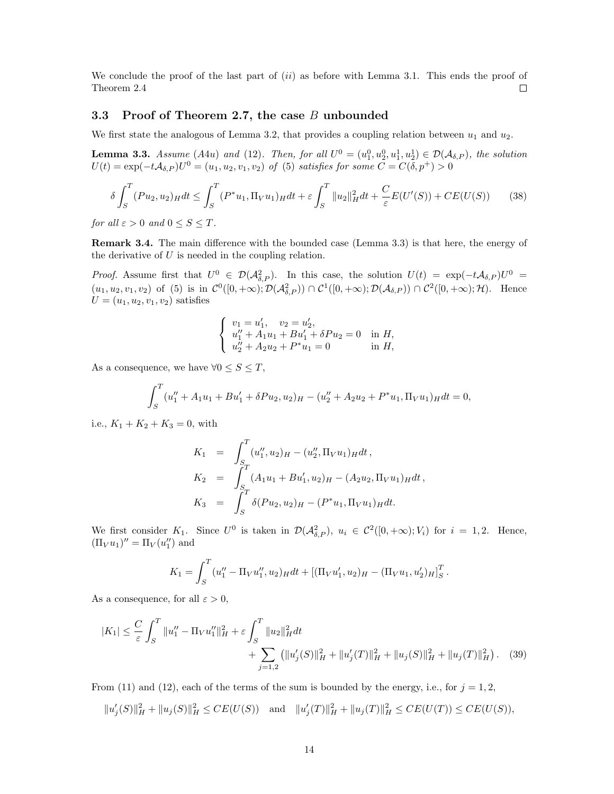We conclude the proof of the last part of  $(ii)$  as before with Lemma 3.1. This ends the proof of Theorem 2.4  $\Box$ 

### 3.3 Proof of Theorem 2.7, the case B unbounded

We first state the analogous of Lemma 3.2, that provides a coupling relation between  $u_1$  and  $u_2$ .

**Lemma 3.3.** Assume (A4u) and (12). Then, for all  $U^0 = (u_1^0, u_2^0, u_1^1, u_2^1) \in \mathcal{D}(\mathcal{A}_{\delta,P})$ , the solution  $U(t) = \exp(-t\mathcal{A}_{\delta,P})U^0 = (u_1, u_2, v_1, v_2)$  of (5) satisfies for some  $C = C(\delta, p^+) > 0$ 

$$
\delta \int_{S}^{T} (Pu_2, u_2)_H dt \le \int_{S}^{T} (P^*u_1, \Pi_V u_1)_H dt + \varepsilon \int_{S}^{T} ||u_2||_H^2 dt + \frac{C}{\varepsilon} E(U'(S)) + CE(U(S)) \tag{38}
$$

for all  $\varepsilon > 0$  and  $0 \leq S \leq T$ .

Remark 3.4. The main difference with the bounded case (Lemma 3.3) is that here, the energy of the derivative of  $U$  is needed in the coupling relation.

*Proof.* Assume first that  $U^0 \in \mathcal{D}(\mathcal{A}_{\delta,P}^2)$ . In this case, the solution  $U(t) = \exp(-t\mathcal{A}_{\delta,P})U^0 =$  $(u_1, u_2, v_1, v_2)$  of (5) is in  $\mathcal{C}^0([0, +\infty); \mathcal{D}(\mathcal{A}_{\delta,P}^2)) \cap \mathcal{C}^1([0, +\infty); \mathcal{D}(\mathcal{A}_{\delta,P})) \cap \mathcal{C}^2([0, +\infty); \mathcal{H})$ . Hence  $U = (u_1, u_2, v_1, v_2)$  satisfies

$$
\begin{cases}\nv_1 = u'_1, & v_2 = u'_2, \\
u''_1 + A_1u_1 + Bu'_1 + \delta Pu_2 = 0 & \text{in } H, \\
u''_2 + A_2u_2 + P^*u_1 = 0 & \text{in } H,\n\end{cases}
$$

As a consequence, we have  $\forall 0 \leq S \leq T$ ,

$$
\int_{S}^{T} (u''_1 + A_1 u_1 + B u'_1 + \delta P u_2, u_2)_{H} - (u''_2 + A_2 u_2 + P^* u_1, \Pi_V u_1)_{H} dt = 0,
$$

i.e.,  $K_1 + K_2 + K_3 = 0$ , with

$$
K_1 = \int_{S}^{T} (u''_1, u_2)_{H} - (u''_2, \Pi_V u_1)_{H} dt,
$$
  
\n
$$
K_2 = \int_{S}^{T} (A_1 u_1 + B u'_1, u_2)_{H} - (A_2 u_2, \Pi_V u_1)_{H} dt,
$$
  
\n
$$
K_3 = \int_{S}^{T} \delta(P u_2, u_2)_{H} - (P^* u_1, \Pi_V u_1)_{H} dt.
$$

We first consider  $K_1$ . Since  $U^0$  is taken in  $\mathcal{D}(\mathcal{A}_{\delta,P}^2)$ ,  $u_i \in \mathcal{C}^2([0,+\infty); V_i)$  for  $i=1,2$ . Hence,  $(\Pi_V u_1)'' = \Pi_V(u_1'')$  and

$$
K_1 = \int_S^T (u''_1 - \Pi_V u''_1, u_2)_H dt + [(\Pi_V u'_1, u_2)_H - (\Pi_V u_1, u'_2)_H]_S^T.
$$

As a consequence, for all  $\varepsilon > 0$ ,

$$
|K_1| \leq \frac{C}{\varepsilon} \int_S^T \|u_1'' - \Pi_V u_1''\|_H^2 + \varepsilon \int_S^T \|u_2\|_H^2 dt + \sum_{j=1,2} (\|u_j'(S)\|_H^2 + \|u_j'(T)\|_H^2 + \|u_j(S)\|_H^2 + \|u_j(T)\|_H^2).
$$
 (39)

From (11) and (12), each of the terms of the sum is bounded by the energy, i.e., for  $j = 1, 2$ ,

 $||u'_{j}(S)||_{H}^{2} + ||u_{j}(S)||_{H}^{2} \leq CE(U(S))$  and  $||u'_{j}(T)||_{H}^{2} + ||u_{j}(T)||_{H}^{2} \leq CE(U(T)) \leq CE(U(S)),$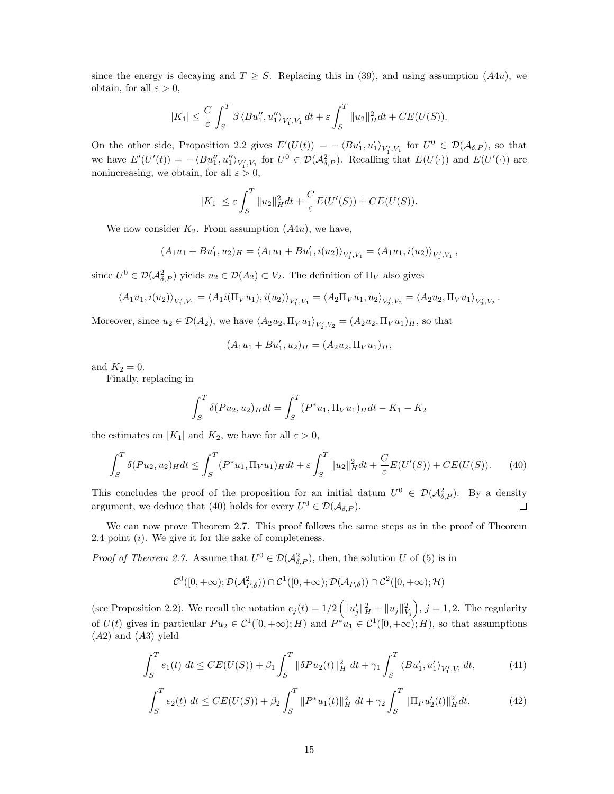since the energy is decaying and  $T \geq S$ . Replacing this in (39), and using assumption (A4u), we obtain, for all  $\varepsilon > 0$ ,

$$
|K_1| \leq \frac{C}{\varepsilon} \int_S^T \beta \langle Bu_1'', u_1'' \rangle_{V_1', V_1} dt + \varepsilon \int_S^T \|u_2\|_H^2 dt + CE(U(S)).
$$

On the other side, Proposition 2.2 gives  $E'(U(t)) = -\langle Bu'_1, u'_1 \rangle_{V'_1, V_1}$  for  $U^0 \in \mathcal{D}(\mathcal{A}_{\delta,P})$ , so that we have  $E'(U'(t)) = -\langle Bu''_1, u''_1 \rangle_{V'_1, V_1}$  for  $U^0 \in \mathcal{D}(\mathcal{A}_{\delta, P}^2)$ . Recalling that  $E(U(\cdot))$  and  $E(U'(\cdot))$  are nonincreasing, we obtain, for all  $\varepsilon > 0$ ,

$$
|K_1| \le \varepsilon \int_S^T \|u_2\|_H^2 dt + \frac{C}{\varepsilon} E(U'(S)) + CE(U(S)).
$$

We now consider  $K_2$ . From assumption  $(A4u)$ , we have,

 $(A_1u_1 + Bu'_1, u_2)_H = \langle A_1u_1 + Bu'_1, i(u_2) \rangle_{V'_1, V_1} = \langle A_1u_1, i(u_2) \rangle_{V'_1, V_1}$ 

since  $U^0 \in \mathcal{D}(\mathcal{A}_{\delta,P}^2)$  yields  $u_2 \in \mathcal{D}(A_2) \subset V_2$ . The definition of  $\Pi_V$  also gives

$$
\langle A_1u_1,i(u_2)\rangle_{V'_1,V_1}=\langle A_1i(\Pi_Vu_1),i(u_2)\rangle_{V'_1,V_1}=\langle A_2\Pi_Vu_1,u_2\rangle_{V'_2,V_2}=\langle A_2u_2,\Pi_Vu_1\rangle_{V'_2,V_2}.
$$

Moreover, since  $u_2 \in \mathcal{D}(A_2)$ , we have  $\langle A_2u_2, \Pi_V u_1 \rangle_{V'_2, V_2} = (A_2u_2, \Pi_V u_1)_H$ , so that

$$
(A_1u_1 + Bu'_1, u_2)_H = (A_2u_2, \Pi_V u_1)_H,
$$

and  $K_2 = 0$ .

Finally, replacing in

$$
\int_{S}^{T} \delta(Pu_2, u_2)_{H} dt = \int_{S}^{T} (P^*u_1, \Pi_V u_1)_{H} dt - K_1 - K_2
$$

the estimates on  $|K_1|$  and  $K_2$ , we have for all  $\varepsilon > 0$ ,

$$
\int_{S}^{T} \delta(Pu_2, u_2)_{H} dt \le \int_{S}^{T} (P^*u_1, \Pi_V u_1)_{H} dt + \varepsilon \int_{S}^{T} ||u_2||_{H}^{2} dt + \frac{C}{\varepsilon} E(U'(S)) + CE(U(S)). \tag{40}
$$

This concludes the proof of the proposition for an initial datum  $U^0 \in \mathcal{D}(\mathcal{A}_{\delta,P}^2)$ . By a density argument, we deduce that (40) holds for every  $U^0 \in \mathcal{D}(\mathcal{A}_{\delta,P}).$  $\Box$ 

We can now prove Theorem 2.7. This proof follows the same steps as in the proof of Theorem 2.4 point  $(i)$ . We give it for the sake of completeness.

*Proof of Theorem 2.7.* Assume that  $U^0 \in \mathcal{D}(\mathcal{A}_{\delta,P}^2)$ , then, the solution U of (5) is in

$$
\mathcal{C}^0([0,+\infty); \mathcal{D}(\mathcal{A}_{P,\delta}^2))\cap \mathcal{C}^1([0,+\infty); \mathcal{D}(\mathcal{A}_{P,\delta}))\cap \mathcal{C}^2([0,+\infty); \mathcal{H})
$$

(see Proposition 2.2). We recall the notation  $e_j(t) = 1/2 \left( ||u'_j||_H^2 + ||u_j||_{V_j}^2 \right), j = 1, 2$ . The regularity of  $U(t)$  gives in particular  $Pu_2 \in C^1([0, +\infty); H)$  and  $P^*u_1 \in C^1([0, +\infty); H)$ , so that assumptions (A2) and (A3) yield

$$
\int_{S}^{T} e_{1}(t) dt \le CE(U(S)) + \beta_{1} \int_{S}^{T} \|\delta Pu_{2}(t)\|_{H}^{2} dt + \gamma_{1} \int_{S}^{T} \langle Bu'_{1}, u'_{1} \rangle_{V'_{1}, V_{1}} dt,
$$
\n(41)

$$
\int_{S}^{T} e_2(t) dt \le CE(U(S)) + \beta_2 \int_{S}^{T} ||P^*u_1(t)||_H^2 dt + \gamma_2 \int_{S}^{T} ||\Pi_P u_2'(t)||_H^2 dt.
$$
 (42)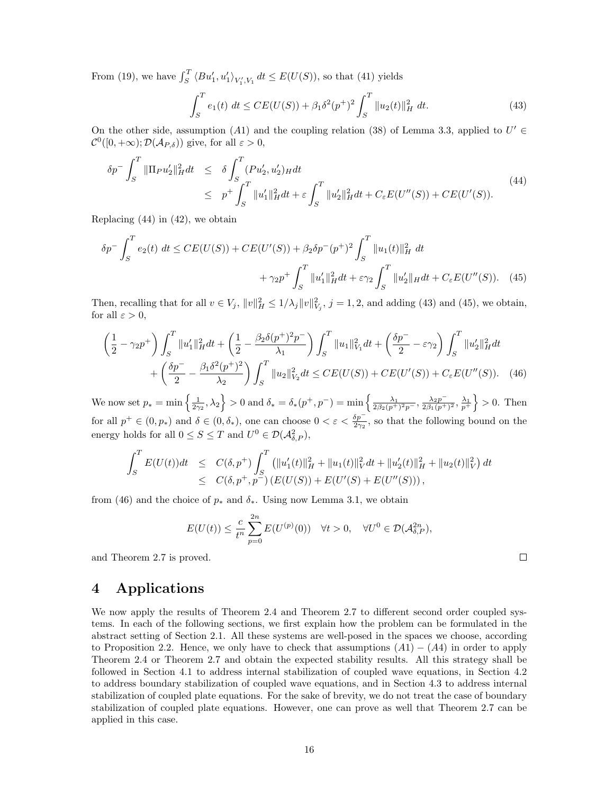From (19), we have  $\int_S^T \langle Bu_1', u_1' \rangle_{V_1', V_1} dt \le E(U(S))$ , so that (41) yields

$$
\int_{S}^{T} e_1(t) dt \le CE(U(S)) + \beta_1 \delta^2(p^+)^2 \int_{S}^{T} ||u_2(t)||_{H}^{2} dt.
$$
 (43)

On the other side, assumption (A1) and the coupling relation (38) of Lemma 3.3, applied to  $U' \in$  $\mathcal{C}^0([0,+\infty); \mathcal{D}(\mathcal{A}_{P,\delta}))$  give, for all  $\varepsilon > 0$ ,

$$
\delta p^{-} \int_{S}^{T} \|\Pi_{P} u_{2}'\|_{H}^{2} dt \leq \delta \int_{S}^{T} (Pu_{2}', u_{2}')_{H} dt
$$
\n
$$
\leq p^{+} \int_{S}^{T} \|u_{1}'\|_{H}^{2} dt + \varepsilon \int_{S}^{T} \|u_{2}'\|_{H}^{2} dt + C_{\varepsilon} E(U''(S)) + CE(U'(S)).
$$
\n(44)

Replacing  $(44)$  in  $(42)$ , we obtain

$$
\delta p^{-} \int_{S}^{T} e_2(t) dt \le CE(U(S)) + CE(U'(S)) + \beta_2 \delta p^{-}(p^{+})^2 \int_{S}^{T} ||u_1(t)||_{H}^{2} dt + \gamma_2 p^{+} \int_{S}^{T} ||u_1'||_{H}^{2} dt + \varepsilon \gamma_2 \int_{S}^{T} ||u_2'||_{H} dt + C_{\varepsilon} E(U''(S)).
$$
 (45)

Then, recalling that for all  $v \in V_j$ ,  $||v||_H^2 \le 1/\lambda_j ||v||_{V_j}^2$ ,  $j = 1, 2$ , and adding (43) and (45), we obtain, for all  $\varepsilon > 0$ ,

$$
\left(\frac{1}{2} - \gamma_2 p^+\right) \int_S^T \|u_1'\|_H^2 dt + \left(\frac{1}{2} - \frac{\beta_2 \delta(p^+)^2 p^-}{\lambda_1}\right) \int_S^T \|u_1\|_{V_1}^2 dt + \left(\frac{\delta p^-}{2} - \varepsilon \gamma_2\right) \int_S^T \|u_2'\|_H^2 dt
$$

$$
+ \left(\frac{\delta p^-}{2} - \frac{\beta_1 \delta^2(p^+)^2}{\lambda_2}\right) \int_S^T \|u_2\|_{V_2}^2 dt \le CE(U(S)) + CE(U'(S)) + C_{\varepsilon} E(U''(S)). \quad (46)
$$

We now set  $p_* = \min\left\{\frac{1}{2\gamma_2}, \lambda_2\right\} > 0$  and  $\delta_* = \delta_*(p^+, p^-) = \min\left\{\frac{\lambda_1}{2\beta_2(p^+)^2p^-}, \frac{\lambda_2p^-}{2\beta_1(p^+)^2} \right\}$  $\frac{\lambda_2 p^{-}}{2\beta_1 (p^{+})^2}$ ,  $\frac{\lambda_1}{p^{+}}$  > 0. Then for all  $p^+ \in (0, p_*)$  and  $\delta \in (0, \delta_*)$ , one can choose  $0 < \varepsilon < \frac{\delta p^-}{2\gamma_2}$ , so that the following bound on the energy holds for all  $0 \le S \le T$  and  $U^0 \in \mathcal{D}(\mathcal{A}_{\delta,P}^2)$ ,

$$
\int_{S}^{T} E(U(t))dt \leq C(\delta, p^{+}) \int_{S}^{T} (||u'_{1}(t)||_{H}^{2} + ||u_{1}(t)||_{V}^{2} dt + ||u'_{2}(t)||_{H}^{2} + ||u_{2}(t)||_{V}^{2}) dt
$$
  

$$
\leq C(\delta, p^{+}, p^{-}) (E(U(S)) + E(U'(S) + E(U''(S))),
$$

from (46) and the choice of  $p_*$  and  $\delta_*$ . Using now Lemma 3.1, we obtain

$$
E(U(t)) \leq \frac{c}{t^n} \sum_{p=0}^{2n} E(U^{(p)}(0)) \quad \forall t > 0, \quad \forall U^0 \in \mathcal{D}(\mathcal{A}_{\delta,P}^{2n}),
$$

 $\Box$ 

and Theorem 2.7 is proved.

# 4 Applications

We now apply the results of Theorem 2.4 and Theorem 2.7 to different second order coupled systems. In each of the following sections, we first explain how the problem can be formulated in the abstract setting of Section 2.1. All these systems are well-posed in the spaces we choose, according to Proposition 2.2. Hence, we only have to check that assumptions  $(A1) - (A4)$  in order to apply Theorem 2.4 or Theorem 2.7 and obtain the expected stability results. All this strategy shall be followed in Section 4.1 to address internal stabilization of coupled wave equations, in Section 4.2 to address boundary stabilization of coupled wave equations, and in Section 4.3 to address internal stabilization of coupled plate equations. For the sake of brevity, we do not treat the case of boundary stabilization of coupled plate equations. However, one can prove as well that Theorem 2.7 can be applied in this case.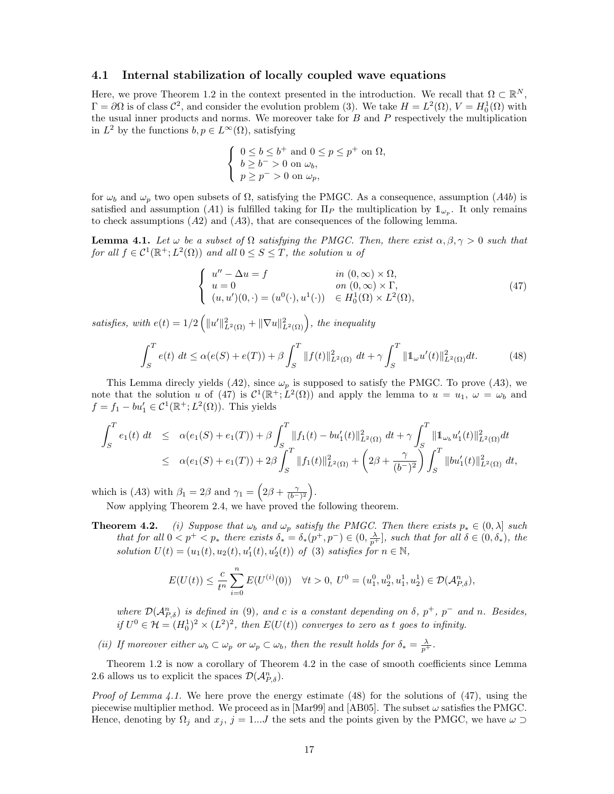### 4.1 Internal stabilization of locally coupled wave equations

Here, we prove Theorem 1.2 in the context presented in the introduction. We recall that  $\Omega \subset \mathbb{R}^N$ ,  $\Gamma = \partial\Omega$  is of class  $\mathcal{C}^2$ , and consider the evolution problem (3). We take  $H = L^2(\Omega)$ ,  $V = H_0^1(\Omega)$  with the usual inner products and norms. We moreover take for  $B$  and  $P$  respectively the multiplication in  $L^2$  by the functions  $b, p \in L^{\infty}(\Omega)$ , satisfying

$$
\begin{cases} 0 \leq b \leq b^+ \text{ and } 0 \leq p \leq p^+ \text{ on } \Omega, \\ b \geq b^- > 0 \text{ on } \omega_b, \\ p \geq p^- > 0 \text{ on } \omega_p, \end{cases}
$$

for  $\omega_b$  and  $\omega_p$  two open subsets of  $\Omega$ , satisfying the PMGC. As a consequence, assumption (A4b) is satisfied and assumption (A1) is fulfilled taking for  $\Pi_P$  the multiplication by  $1\ell_{\omega_P}$ . It only remains to check assumptions  $(A2)$  and  $(A3)$ , that are consequences of the following lemma.

**Lemma 4.1.** Let  $\omega$  be a subset of  $\Omega$  satisfying the PMGC. Then, there exist  $\alpha, \beta, \gamma > 0$  such that for all  $f \in C^1(\mathbb{R}^+; L^2(\Omega))$  and all  $0 \le S \le T$ , the solution u of

$$
\begin{cases}\nu'' - \Delta u = f & \text{in } (0, \infty) \times \Omega, \\
u = 0 & \text{on } (0, \infty) \times \Gamma, \\
(u, u')(0, \cdot) = (u^0(\cdot), u^1(\cdot)) \in H_0^1(\Omega) \times L^2(\Omega),\n\end{cases}
$$
\n(47)

satisfies, with  $e(t) = 1/2 \left( ||u'||_{L^2(\Omega)}^2 + ||\nabla u||_{L^2(\Omega)}^2 \right)$ , the inequality

$$
\int_{S}^{T} e(t) \, dt \le \alpha(e(S) + e(T)) + \beta \int_{S}^{T} ||f(t)||_{L^{2}(\Omega)}^{2} \, dt + \gamma \int_{S}^{T} ||\mathbf{1}_{\omega} u'(t)||_{L^{2}(\Omega)}^{2} \, dt. \tag{48}
$$

This Lemma direcly yields (A2), since  $\omega_p$  is supposed to satisfy the PMGC. To prove (A3), we note that the solution u of (47) is  $\mathcal{C}^1(\mathbb{R}^+;\dot{L}^2(\Omega))$  and apply the lemma to  $u = u_1, \omega = \omega_b$  and  $f = f_1 - bu'_1 \in C^1(\mathbb{R}^+; L^2(\Omega))$ . This yields

$$
\int_{S}^{T} e_{1}(t) dt \leq \alpha(e_{1}(S) + e_{1}(T)) + \beta \int_{S}^{T} ||f_{1}(t) - bu'_{1}(t)||_{L^{2}(\Omega)}^{2} dt + \gamma \int_{S}^{T} ||\mathbb{1}_{\omega_{b}} u'_{1}(t)||_{L^{2}(\Omega)}^{2} dt
$$
  

$$
\leq \alpha(e_{1}(S) + e_{1}(T)) + 2\beta \int_{S}^{T} ||f_{1}(t)||_{L^{2}(\Omega)}^{2} + \left(2\beta + \frac{\gamma}{(b^{-})^{2}}\right) \int_{S}^{T} ||bu'_{1}(t)||_{L^{2}(\Omega)}^{2} dt,
$$

which is (A3) with  $\beta_1 = 2\beta$  and  $\gamma_1 = \left(2\beta + \frac{\gamma}{(b-1)^2}\right)$ .

Now applying Theorem 2.4, we have proved the following theorem.

**Theorem 4.2.** (i) Suppose that  $\omega_b$  and  $\omega_p$  satisfy the PMGC. Then there exists  $p_* \in (0, \lambda]$  such that for all  $0 < p^+ < p_*$  there exists  $\delta_* = \delta_*(p^+, p^-) \in (0, \frac{\lambda}{p^+})$ , such that for all  $\delta \in (0, \delta_*)$ , the solution  $U(t) = (u_1(t), u_2(t), u_1'(t), u_2'(t))$  of (3) satisfies for  $n \in \mathbb{N}$ ,

$$
E(U(t)) \leq \frac{c}{t^n} \sum_{i=0}^n E(U^{(i)}(0)) \quad \forall t > 0, \ U^0 = (u_1^0, u_2^0, u_1^1, u_2^1) \in \mathcal{D}(\mathcal{A}_{P,\delta}^n),
$$

where  $\mathcal{D}(\mathcal{A}_{P,\delta}^n)$  is defined in (9), and c is a constant depending on  $\delta$ ,  $p^+$ ,  $p^-$  and n. Besides, if  $U^0 \in \mathcal{H} = (H_0^1)^2 \times (L^2)^2$ , then  $E(U(t))$  converges to zero as t goes to infinity.

(ii) If moreover either  $\omega_b \subset \omega_p$  or  $\omega_p \subset \omega_b$ , then the result holds for  $\delta_* = \frac{\lambda}{p^+}$ .

Theorem 1.2 is now a corollary of Theorem 4.2 in the case of smooth coefficients since Lemma 2.6 allows us to explicit the spaces  $\mathcal{D}(\mathcal{A}_{P,\delta}^n)$ .

*Proof of Lemma 4.1.* We here prove the energy estimate (48) for the solutions of (47), using the piecewise multiplier method. We proceed as in  $|\text{Mar99}|$  and  $|\text{AB05}|$ . The subset  $\omega$  satisfies the PMGC. Hence, denoting by  $\Omega_j$  and  $x_j$ ,  $j = 1...J$  the sets and the points given by the PMGC, we have  $\omega \supset$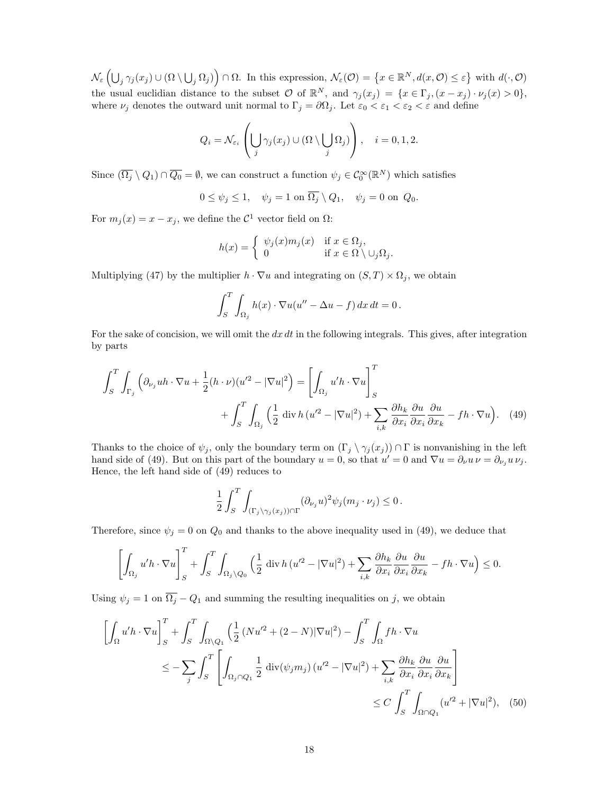$\mathcal{N}_{\varepsilon}\left(\bigcup_{j} \gamma_{j}(x_{j}) \cup (\Omega \setminus \bigcup_{j} \Omega_{j})\right) \cap \Omega$ . In this expression,  $\mathcal{N}_{\varepsilon}(\mathcal{O}) = \left\{x \in \mathbb{R}^{N}, d(x, \mathcal{O}) \leq \varepsilon\right\}$  with  $d(\cdot, \mathcal{O})$ the usual euclidian distance to the subset  $\mathcal O$  of  $\mathbb{R}^N$ , and  $\gamma_j(x_j) = \{x \in \Gamma_j, (x - x_j) \cdot \nu_j(x) > 0\},$ where  $\nu_j$  denotes the outward unit normal to  $\Gamma_j = \partial \Omega_j$ . Let  $\varepsilon_0 < \varepsilon_1 < \varepsilon_2 < \varepsilon$  and define

$$
Q_i = \mathcal{N}_{\varepsilon_i} \left( \bigcup_j \gamma_j(x_j) \cup (\Omega \setminus \bigcup_j \Omega_j) \right), \quad i = 0, 1, 2.
$$

Since  $(\overline{\Omega_j} \setminus Q_1) \cap \overline{Q_0} = \emptyset$ , we can construct a function  $\psi_j \in C_0^{\infty}(\mathbb{R}^N)$  which satisfies

$$
0 \le \psi_j \le 1, \quad \psi_j = 1 \text{ on } \overline{\Omega_j} \setminus Q_1, \quad \psi_j = 0 \text{ on } Q_0.
$$

For  $m_j(x) = x - x_j$ , we define the  $\mathcal{C}^1$  vector field on  $\Omega$ :

$$
h(x) = \begin{cases} \psi_j(x)m_j(x) & \text{if } x \in \Omega_j, \\ 0 & \text{if } x \in \Omega \setminus \cup_j \Omega_j. \end{cases}
$$

Multiplying (47) by the multiplier  $h \cdot \nabla u$  and integrating on  $(S, T) \times \Omega_i$ , we obtain

$$
\int_{S}^{T} \int_{\Omega_j} h(x) \cdot \nabla u(u'' - \Delta u - f) \, dx \, dt = 0 \, .
$$

For the sake of concision, we will omit the  $dx\,dt$  in the following integrals. This gives, after integration by parts

$$
\int_{S}^{T} \int_{\Gamma_{j}} \left( \partial_{\nu_{j}} uh \cdot \nabla u + \frac{1}{2} (h \cdot \nu) (u^2 - |\nabla u|^2 \right) = \left[ \int_{\Omega_{j}} u'h \cdot \nabla u \right]_{S}^{T} + \int_{S}^{T} \int_{\Omega_{j}} \left( \frac{1}{2} \operatorname{div} h (u^2 - |\nabla u|^2) + \sum_{i,k} \frac{\partial h_{k}}{\partial x_{i}} \frac{\partial u}{\partial x_{i}} \frac{\partial u}{\partial x_{k}} - fh \cdot \nabla u \right). \tag{49}
$$

Thanks to the choice of  $\psi_j$ , only the boundary term on  $(\Gamma_j \setminus \gamma_j (x_j)) \cap \Gamma$  is nonvanishing in the left hand side of (49). But on this part of the boundary  $u = 0$ , so that  $u' = 0$  and  $\nabla u = \partial_{\nu} u \nu = \partial_{\nu_j} u \nu_j$ . Hence, the left hand side of (49) reduces to

$$
\frac{1}{2} \int_{S}^{T} \int_{(\Gamma_j \setminus \gamma_j(x_j)) \cap \Gamma} (\partial_{\nu_j} u)^2 \psi_j(m_j \cdot \nu_j) \leq 0.
$$

Therefore, since  $\psi_j = 0$  on  $Q_0$  and thanks to the above inequality used in (49), we deduce that

$$
\left[\int_{\Omega_j} u'h \cdot \nabla u\right]_S^T + \int_S^T \int_{\Omega_j \setminus Q_0} \left(\frac{1}{2} \operatorname{div} h\left(u'^2 - |\nabla u|^2\right) + \sum_{i,k} \frac{\partial h_k}{\partial x_i} \frac{\partial u}{\partial x_i} \frac{\partial u}{\partial x_k} - fh \cdot \nabla u\right) \leq 0.
$$

Using  $\psi_j = 1$  on  $\overline{\Omega_j} - Q_1$  and summing the resulting inequalities on j, we obtain

$$
\left[\int_{\Omega} u'h \cdot \nabla u\right]_{S}^{T} + \int_{S}^{T} \int_{\Omega \setminus Q_{1}} \left(\frac{1}{2} \left(Nu'^{2} + (2 - N)|\nabla u|^{2}\right) - \int_{S}^{T} \int_{\Omega} fh \cdot \nabla u\right)
$$
\n
$$
\leq -\sum_{j} \int_{S}^{T} \left[\int_{\Omega_{j} \cap Q_{1}} \frac{1}{2} \operatorname{div}(\psi_{j}m_{j}) \left(u'^{2} - |\nabla u|^{2}\right) + \sum_{i,k} \frac{\partial h_{k}}{\partial x_{i}} \frac{\partial u}{\partial x_{i}} \frac{\partial u}{\partial x_{k}}\right]
$$
\n
$$
\leq C \int_{S}^{T} \int_{\Omega \cap Q_{1}} (u'^{2} + |\nabla u|^{2}), \quad (50)
$$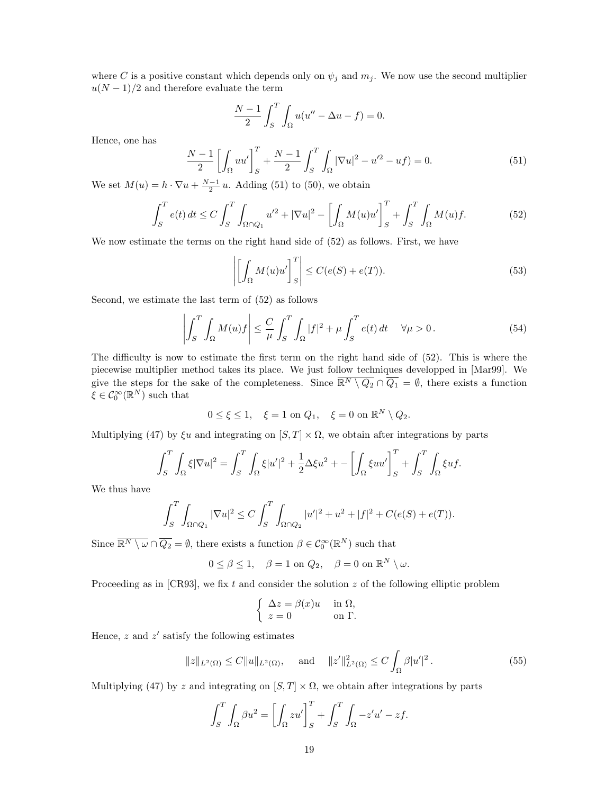where C is a positive constant which depends only on  $\psi_j$  and  $m_j$ . We now use the second multiplier  $u(N-1)/2$  and therefore evaluate the term

$$
\frac{N-1}{2} \int_{S}^{T} \int_{\Omega} u(u'' - \Delta u - f) = 0.
$$

Hence, one has

$$
\frac{N-1}{2} \left[ \int_{\Omega} uu' \right]_{S}^{T} + \frac{N-1}{2} \int_{S}^{T} \int_{\Omega} |\nabla u|^{2} - u'^{2} - uf) = 0. \tag{51}
$$

We set  $M(u) = h \cdot \nabla u + \frac{N-1}{2} u$ . Adding (51) to (50), we obtain

$$
\int_{S}^{T} e(t) dt \le C \int_{S}^{T} \int_{\Omega \cap Q_{1}} u'^{2} + |\nabla u|^{2} - \left[ \int_{\Omega} M(u)u' \right]_{S}^{T} + \int_{S}^{T} \int_{\Omega} M(u)f. \tag{52}
$$

We now estimate the terms on the right hand side of (52) as follows. First, we have

$$
\left| \left[ \int_{\Omega} M(u)u' \right]_S^T \right| \le C(e(S) + e(T)). \tag{53}
$$

Second, we estimate the last term of (52) as follows

$$
\left| \int_{S}^{T} \int_{\Omega} M(u) f \right| \leq \frac{C}{\mu} \int_{S}^{T} \int_{\Omega} |f|^{2} + \mu \int_{S}^{T} e(t) dt \quad \forall \mu > 0.
$$
 (54)

The difficulty is now to estimate the first term on the right hand side of (52). This is where the piecewise multiplier method takes its place. We just follow techniques developped in [Mar99]. We give the steps for the sake of the completeness. Since  $\overline{\mathbb{R}^N \setminus Q_2} \cap \overline{Q_1} = \emptyset$ , there exists a function  $\xi\in\mathcal{C}_0^\infty(\mathbb{R}^N)$  such that

$$
0 \le \xi \le 1, \quad \xi = 1 \text{ on } Q_1, \quad \xi = 0 \text{ on } \mathbb{R}^N \setminus Q_2.
$$

Multiplying (47) by  $\xi u$  and integrating on  $[S, T] \times \Omega$ , we obtain after integrations by parts

$$
\int_{S}^{T} \int_{\Omega} \xi |\nabla u|^{2} = \int_{S}^{T} \int_{\Omega} \xi |u'|^{2} + \frac{1}{2} \Delta \xi u^{2} + - \left[ \int_{\Omega} \xi u u' \right]_{S}^{T} + \int_{S}^{T} \int_{\Omega} \xi u f.
$$

We thus have

$$
\int_{S}^{T} \int_{\Omega \cap Q_{1}} |\nabla u|^{2} \le C \int_{S}^{T} \int_{\Omega \cap Q_{2}} |u'|^{2} + u^{2} + |f|^{2} + C(e(S) + e(T)).
$$

Since  $\overline{\mathbb{R}^N \setminus \omega} \cap \overline{Q_2} = \emptyset$ , there exists a function  $\beta \in C_0^{\infty}(\mathbb{R}^N)$  such that

$$
0 \le \beta \le 1, \quad \beta = 1 \text{ on } Q_2, \quad \beta = 0 \text{ on } \mathbb{R}^N \setminus \omega.
$$

Proceeding as in [CR93], we fix t and consider the solution  $z$  of the following elliptic problem

$$
\begin{cases} \Delta z = \beta(x)u & \text{in } \Omega, \\ z = 0 & \text{on } \Gamma. \end{cases}
$$

Hence,  $z$  and  $z'$  satisfy the following estimates

$$
||z||_{L^{2}(\Omega)} \leq C||u||_{L^{2}(\Omega)}, \quad \text{and} \quad ||z'||_{L^{2}(\Omega)}^{2} \leq C \int_{\Omega} \beta |u'|^{2}. \tag{55}
$$

Multiplying (47) by z and integrating on  $[S, T] \times \Omega$ , we obtain after integrations by parts

$$
\int_{S}^{T} \int_{\Omega} \beta u^{2} = \left[ \int_{\Omega} z u' \right]_{S}^{T} + \int_{S}^{T} \int_{\Omega} -z' u' - z f.
$$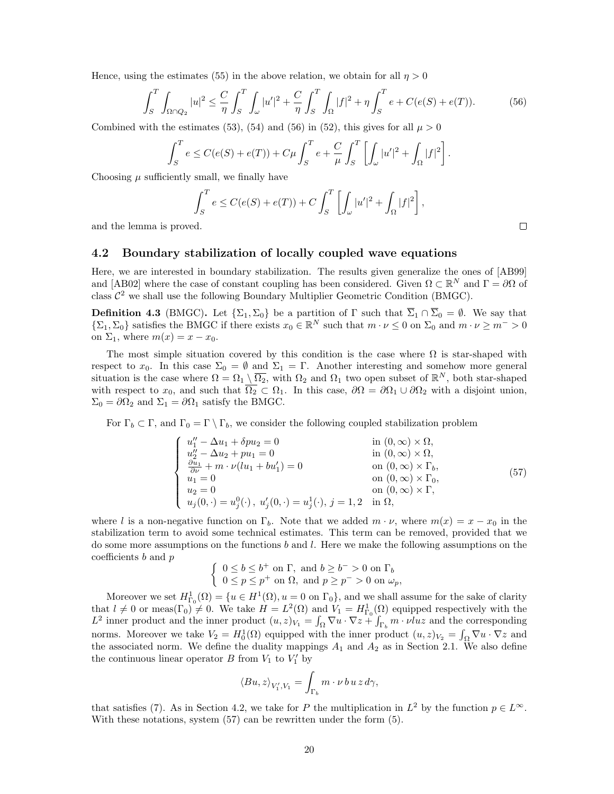Hence, using the estimates (55) in the above relation, we obtain for all  $\eta > 0$ 

$$
\int_{S}^{T} \int_{\Omega \cap Q_{2}} |u|^{2} \leq \frac{C}{\eta} \int_{S}^{T} \int_{\omega} |u'|^{2} + \frac{C}{\eta} \int_{S}^{T} \int_{\Omega} |f|^{2} + \eta \int_{S}^{T} e + C(e(S) + e(T)). \tag{56}
$$

Combined with the estimates (53), (54) and (56) in (52), this gives for all  $\mu > 0$ 

$$
\int_{S}^{T} e \leq C(e(S) + e(T)) + C\mu \int_{S}^{T} e + \frac{C}{\mu} \int_{S}^{T} \left[ \int_{\omega} |u'|^{2} + \int_{\Omega} |f|^{2} \right].
$$

Choosing  $\mu$  sufficiently small, we finally have

$$
\int_{S}^{T} e \le C(e(S) + e(T)) + C \int_{S}^{T} \left[ \int_{\omega} |u'|^{2} + \int_{\Omega} |f|^{2} \right],
$$

and the lemma is proved.

### 4.2 Boundary stabilization of locally coupled wave equations

Here, we are interested in boundary stabilization. The results given generalize the ones of [AB99] and [AB02] where the case of constant coupling has been considered. Given  $\Omega \subset \mathbb{R}^N$  and  $\Gamma = \partial \Omega$  of class  $\mathcal{C}^2$  we shall use the following Boundary Multiplier Geometric Condition (BMGC).

**Definition 4.3** (BMGC). Let  $\{\Sigma_1, \Sigma_0\}$  be a partition of  $\Gamma$  such that  $\overline{\Sigma}_1 \cap \overline{\Sigma}_0 = \emptyset$ . We say that  $\{\Sigma_1, \Sigma_0\}$  satisfies the BMGC if there exists  $x_0 \in \mathbb{R}^N$  such that  $m \cdot \nu \leq 0$  on  $\Sigma_0$  and  $m \cdot \nu \geq m^{-} > 0$ on  $\Sigma_1$ , where  $m(x) = x - x_0$ .

The most simple situation covered by this condition is the case where  $\Omega$  is star-shaped with respect to  $x_0$ . In this case  $\Sigma_0 = \emptyset$  and  $\Sigma_1 = \Gamma$ . Another interesting and somehow more general situation is the case where  $\Omega = \Omega_1 \setminus \overline{\Omega_2}$ , with  $\Omega_2$  and  $\Omega_1$  two open subset of  $\mathbb{R}^N$ , both star-shaped with respect to  $x_0$ , and such that  $\overline{\Omega_2} \subset \Omega_1$ . In this case,  $\partial \Omega = \partial \Omega_1 \cup \partial \Omega_2$  with a disjoint union,  $\Sigma_0 = \partial \Omega_2$  and  $\Sigma_1 = \partial \Omega_1$  satisfy the BMGC.

For  $\Gamma_b \subset \Gamma$ , and  $\Gamma_0 = \Gamma \setminus \Gamma_b$ , we consider the following coupled stabilization problem

$$
\begin{cases}\nu''_1 - \Delta u_1 + \delta p u_2 = 0 & \text{in } (0, \infty) \times \Omega, \\
u''_2 - \Delta u_2 + p u_1 = 0 & \text{in } (0, \infty) \times \Omega, \\
\frac{\partial u_1}{\partial \nu} + m \cdot \nu(l u_1 + b u_1') = 0 & \text{on } (0, \infty) \times \Gamma_b, \\
u_1 = 0 & \text{on } (0, \infty) \times \Gamma_0, \\
u_2 = 0 & \text{on } (0, \infty) \times \Gamma, \\
u_j(0, \cdot) = u_j^0(\cdot), u_j'(0, \cdot) = u_j^1(\cdot), j = 1, 2 \text{ in } \Omega,\n\end{cases}
$$
\n(57)

where l is a non-negative function on  $\Gamma_b$ . Note that we added  $m \cdot \nu$ , where  $m(x) = x - x_0$  in the stabilization term to avoid some technical estimates. This term can be removed, provided that we do some more assumptions on the functions b and l. Here we make the following assumptions on the coefficients  $b$  and  $p$ 

$$
\left\{\begin{array}{l} 0\leq b\leq b^{+}\text{ on }\Gamma,\text{ and }b\geq b^{-}>0\text{ on }\Gamma_{b}\\ 0\leq p\leq p^{+}\text{ on }\Omega,\text{ and }p\geq p^{-}>0\text{ on }\omega_{p},\end{array}\right.
$$

Moreover we set  $H^1_{\Gamma_0}(\Omega) = \{u \in H^1(\Omega), u = 0 \text{ on } \Gamma_0\}$ , and we shall assume for the sake of clarity that  $l \neq 0$  or meas( $\Gamma_0 \neq 0$ . We take  $H = L^2(\Omega)$  and  $V_1 = H_{\Gamma_0}^1(\Omega)$  equipped respectively with the  $L^2$  inner product and the inner product  $(u, z)_{V_1} = \int_{\Omega} \nabla u \cdot \nabla z + \int_{\Gamma_b} m \cdot \nu l u z$  and the corresponding norms. Moreover we take  $V_2 = H_0^1(\Omega)$  equipped with the inner product  $(u, z)_{V_2} = \int_{\Omega} \nabla u \cdot \nabla z$  and the associated norm. We define the duality mappings  $A_1$  and  $A_2$  as in Section 2.1. We also define the continuous linear operator  $B$  from  $V_1$  to  $V'_1$  by

$$
\langle Bu, z \rangle_{V_1', V_1} = \int_{\Gamma_b} m \cdot \nu \, b \, u \, z \, d\gamma,
$$

that satisfies (7). As in Section 4.2, we take for P the multiplication in  $L^2$  by the function  $p \in L^{\infty}$ . With these notations, system  $(57)$  can be rewritten under the form  $(5)$ .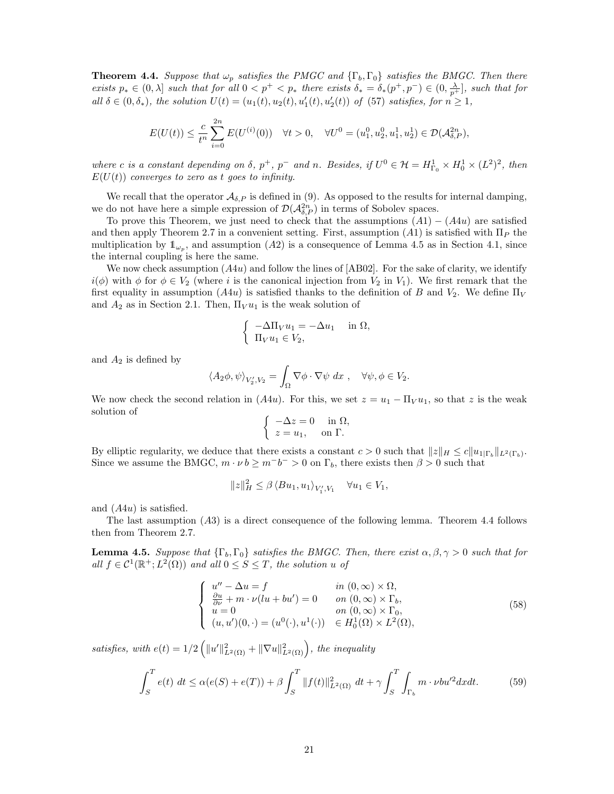**Theorem 4.4.** Suppose that  $\omega_p$  satisfies the PMGC and  $\{\Gamma_b, \Gamma_0\}$  satisfies the BMGC. Then there exists  $p_* \in (0, \lambda]$  such that for all  $0 < p^+ < p_*$  there exists  $\delta_* = \delta_*(p^+, p^-) \in (0, \frac{\lambda}{p^+})$ , such that for all  $\delta \in (0, \delta_*)$ , the solution  $U(t) = (u_1(t), u_2(t), u'_1(t), u'_2(t))$  of (57) satisfies, for  $n \geq 1$ ,

$$
E(U(t)) \leq \frac{c}{t^n} \sum_{i=0}^{2n} E(U^{(i)}(0)) \quad \forall t > 0, \quad \forall U^0 = (u_1^0, u_2^0, u_1^1, u_2^1) \in \mathcal{D}(\mathcal{A}_{\delta, P}^{2n}),
$$

where c is a constant depending on  $\delta$ ,  $p^+$ ,  $p^-$  and n. Besides, if  $U^0 \in \mathcal{H} = H^1_{\Gamma_0} \times H^1_0 \times (L^2)^2$ , then  $E(U(t))$  converges to zero as t goes to infinity.

We recall that the operator  $\mathcal{A}_{\delta,P}$  is defined in (9). As opposed to the results for internal damping, we do not have here a simple expression of  $\mathcal{D}(\mathcal{A}_{\delta,P}^{2n})$  in terms of Sobolev spaces.

To prove this Theorem, we just need to check that the assumptions  $(A1) - (A4u)$  are satisfied and then apply Theorem 2.7 in a convenient setting. First, assumption (A1) is satisfied with  $\Pi_P$  the multiplication by  $\mathbb{1}_{\omega_p}$ , and assumption (A2) is a consequence of Lemma 4.5 as in Section 4.1, since the internal coupling is here the same.

We now check assumption  $(A4u)$  and follow the lines of  $[AB02]$ . For the sake of clarity, we identify  $i(\phi)$  with  $\phi$  for  $\phi \in V_2$  (where i is the canonical injection from  $V_2$  in  $V_1$ ). We first remark that the first equality in assumption  $(A4u)$  is satisfied thanks to the definition of B and  $V_2$ . We define  $\Pi_V$ and  $A_2$  as in Section 2.1. Then,  $\Pi_V u_1$  is the weak solution of

$$
\begin{cases}\n-\Delta \Pi_V u_1 = -\Delta u_1 & \text{in } \Omega, \\
\Pi_V u_1 \in V_2,\n\end{cases}
$$

and  $A_2$  is defined by

$$
\langle A_2 \phi, \psi \rangle_{V_2', V_2} = \int_{\Omega} \nabla \phi \cdot \nabla \psi \, dx \ , \quad \forall \psi, \phi \in V_2.
$$

We now check the second relation in  $(A4u)$ . For this, we set  $z = u_1 - \Pi_V u_1$ , so that z is the weak solution of

$$
\begin{cases}\n-\Delta z = 0 & \text{in } \Omega, \\
z = u_1, & \text{on } \Gamma.\n\end{cases}
$$

By elliptic regularity, we deduce that there exists a constant  $c > 0$  such that  $||z||_H \le c||u_{1|\Gamma_b}||_{L^2(\Gamma_b)}$ . Since we assume the BMGC,  $m \cdot \nu b \geq m^{-}b^{-} > 0$  on  $\Gamma_b$ , there exists then  $\beta > 0$  such that

$$
||z||_H^2 \leq \beta \langle Bu_1, u_1 \rangle_{V_1', V_1} \quad \forall u_1 \in V_1,
$$

and (A4u) is satisfied.

The last assumption (A3) is a direct consequence of the following lemma. Theorem 4.4 follows then from Theorem 2.7.

**Lemma 4.5.** Suppose that  $\{\Gamma_b, \Gamma_0\}$  satisfies the BMGC. Then, there exist  $\alpha, \beta, \gamma > 0$  such that for all  $f \in C^1(\mathbb{R}^+; L^2(\Omega))$  and all  $0 \leq S \leq T$ , the solution u of

$$
\begin{cases}\nu'' - \Delta u = f & in (0, \infty) \times \Omega, \\
\frac{\partial u}{\partial \nu} + m \cdot \nu(lu + bu') = 0 & on (0, \infty) \times \Gamma_b, \\
u = 0 & on (0, \infty) \times \Gamma_0, \\
(u, u')(0, \cdot) = (u^0(\cdot), u^1(\cdot)) & \in H_0^1(\Omega) \times L^2(\Omega),\n\end{cases}
$$
\n(58)

satisfies, with  $e(t) = 1/2 \left( ||u'||_{L^2(\Omega)}^2 + ||\nabla u||_{L^2(\Omega)}^2 \right)$ , the inequality

$$
\int_{S}^{T} e(t) dt \le \alpha(e(S) + e(T)) + \beta \int_{S}^{T} ||f(t)||_{L^{2}(\Omega)}^{2} dt + \gamma \int_{S}^{T} \int_{\Gamma_{b}} m \cdot \nu b u'^{2} dx dt.
$$
 (59)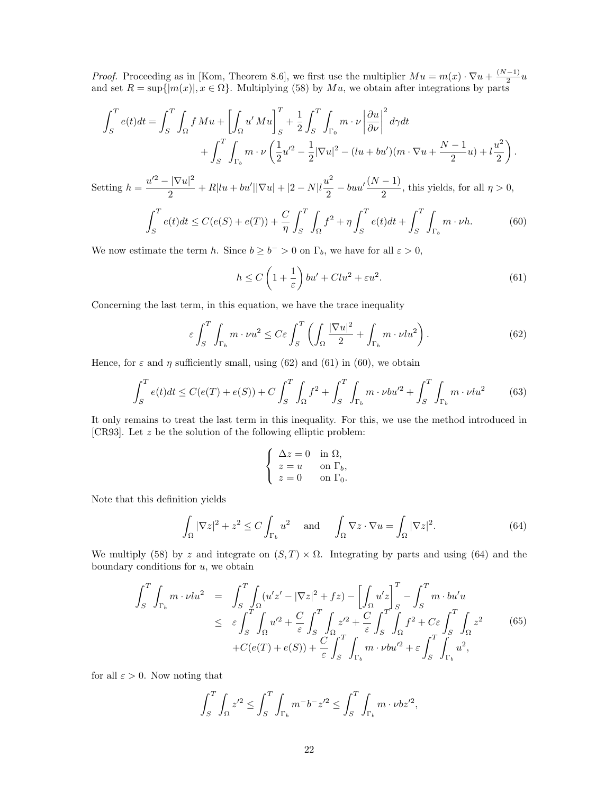*Proof.* Proceeding as in [Kom, Theorem 8.6], we first use the multiplier  $Mu = m(x) \cdot \nabla u + \frac{(N-1)}{2}$  $\frac{-1}{2}u$ and set  $R = \sup\{|m(x)|, x \in \Omega\}$ . Multiplying (58) by  $Mu$ , we obtain after integrations by parts

$$
\int_{S}^{T} e(t)dt = \int_{S}^{T} \int_{\Omega} f Mu + \left[ \int_{\Omega} u' Mu \right]_{S}^{T} + \frac{1}{2} \int_{S}^{T} \int_{\Gamma_{0}} m \cdot \nu \left| \frac{\partial u}{\partial \nu} \right|^{2} d\gamma dt + \int_{S}^{T} \int_{\Gamma_{b}} m \cdot \nu \left( \frac{1}{2} u'^{2} - \frac{1}{2} |\nabla u|^{2} - (\ln + bu') (m \cdot \nabla u + \frac{N-1}{2} u) + l \frac{u^{2}}{2} \right).
$$

Setting  $h = \frac{u'^2 - |\nabla u|^2}{2}$  $\frac{|\nabla u|^2}{2} + R|lu + bu'||\nabla u| + |2 - N|l\frac{u^2}{2}$  $\frac{u^2}{2} - buu'\frac{(N-1)}{2}$  $\frac{1}{2}$ , this yields, for all  $\eta > 0$ ,

$$
\int_{S}^{T} e(t)dt \le C(e(S) + e(T)) + \frac{C}{\eta} \int_{S}^{T} \int_{\Omega} f^{2} + \eta \int_{S}^{T} e(t)dt + \int_{S}^{T} \int_{\Gamma_{b}} m \cdot \nu h. \tag{60}
$$

We now estimate the term h. Since  $b \ge b^- > 0$  on  $\Gamma_b$ , we have for all  $\varepsilon > 0$ ,

$$
h \le C\left(1 + \frac{1}{\varepsilon}\right)bu' + Clu^2 + \varepsilon u^2. \tag{61}
$$

Concerning the last term, in this equation, we have the trace inequality

$$
\varepsilon \int_{S}^{T} \int_{\Gamma_{b}} m \cdot \nu u^{2} \leq C \varepsilon \int_{S}^{T} \left( \int_{\Omega} \frac{|\nabla u|^{2}}{2} + \int_{\Gamma_{b}} m \cdot \nu l u^{2} \right). \tag{62}
$$

Hence, for  $\varepsilon$  and  $\eta$  sufficiently small, using (62) and (61) in (60), we obtain

$$
\int_{S}^{T} e(t)dt \le C(e(T) + e(S)) + C \int_{S}^{T} \int_{\Omega} f^{2} + \int_{S}^{T} \int_{\Gamma_{b}} m \cdot \nu b u'^{2} + \int_{S}^{T} \int_{\Gamma_{b}} m \cdot \nu l u^{2}
$$
(63)

It only remains to treat the last term in this inequality. For this, we use the method introduced in [CR93]. Let z be the solution of the following elliptic problem:

$$
\begin{cases}\n\Delta z = 0 & \text{in } \Omega, \\
z = u & \text{on } \Gamma_b, \\
z = 0 & \text{on } \Gamma_0.\n\end{cases}
$$

Note that this definition yields

$$
\int_{\Omega} |\nabla z|^2 + z^2 \le C \int_{\Gamma_b} u^2 \quad \text{and} \quad \int_{\Omega} \nabla z \cdot \nabla u = \int_{\Omega} |\nabla z|^2. \tag{64}
$$

We multiply (58) by z and integrate on  $(S, T) \times \Omega$ . Integrating by parts and using (64) and the boundary conditions for  $u$ , we obtain

$$
\int_{S}^{T} \int_{\Gamma_{b}} m \cdot \nu l u^{2} = \int_{S}^{T} \int_{\Omega} (u' z' - |\nabla z|^{2} + fz) - \left[ \int_{\Omega} u' z \right]_{S}^{T} - \int_{S}^{T} m \cdot bu' u
$$
\n
$$
\leq \varepsilon \int_{S}^{T} \int_{\Omega} u'^{2} + \frac{C}{\varepsilon} \int_{S}^{T} \int_{\Omega} z'^{2} + \frac{C}{\varepsilon} \int_{S}^{T} \int_{\Omega} f^{2} + C \varepsilon \int_{S}^{T} \int_{\Omega} z^{2} \qquad (65)
$$
\n
$$
+ C(e(T) + e(S)) + \frac{C}{\varepsilon} \int_{S}^{T} \int_{\Gamma_{b}} m \cdot \nu b u'^{2} + \varepsilon \int_{S}^{T} \int_{\Gamma_{b}} u^{2},
$$

for all  $\varepsilon > 0$ . Now noting that

$$
\int_S^T \int_{\Omega} z'^2 \le \int_S^T \int_{\Gamma_b} m^- b^- z'^2 \le \int_S^T \int_{\Gamma_b} m \cdot \nu b z'^2,
$$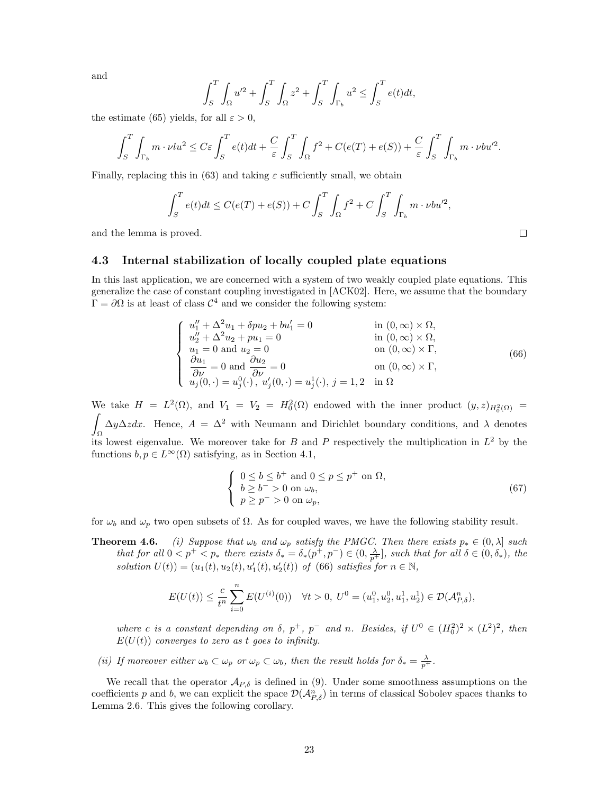and

$$
\int_{S}^{T} \int_{\Omega} u'^2 + \int_{S}^{T} \int_{\Omega} z^2 + \int_{S}^{T} \int_{\Gamma_b} u^2 \le \int_{S}^{T} e(t) dt,
$$

the estimate (65) yields, for all  $\varepsilon > 0$ ,

$$
\int_{S}^{T} \int_{\Gamma_{b}} m \cdot \nu l u^{2} \leq C \varepsilon \int_{S}^{T} e(t) dt + \frac{C}{\varepsilon} \int_{S}^{T} \int_{\Omega} f^{2} + C(e(T) + e(S)) + \frac{C}{\varepsilon} \int_{S}^{T} \int_{\Gamma_{b}} m \cdot \nu b u^{2}.
$$

Finally, replacing this in (63) and taking  $\varepsilon$  sufficiently small, we obtain

$$
\int_{S}^{T} e(t)dt \le C(e(T) + e(S)) + C \int_{S}^{T} \int_{\Omega} f^{2} + C \int_{S}^{T} \int_{\Gamma_{b}} m \cdot \nu b u'^{2},
$$

and the lemma is proved.

### 4.3 Internal stabilization of locally coupled plate equations

In this last application, we are concerned with a system of two weakly coupled plate equations. This generalize the case of constant coupling investigated in [ACK02]. Here, we assume that the boundary  $\Gamma = \partial \Omega$  is at least of class  $\mathcal{C}^4$  and we consider the following system:

$$
\begin{cases}\nu_1'' + \Delta^2 u_1 + \delta p u_2 + b u_1' = 0 & \text{in } (0, \infty) \times \Omega, \\
u_2'' + \Delta^2 u_2 + p u_1 = 0 & \text{in } (0, \infty) \times \Omega, \\
u_1 = 0 \text{ and } u_2 = 0 & \text{on } (0, \infty) \times \Gamma, \\
\frac{\partial u_1}{\partial \nu} = 0 \text{ and } \frac{\partial u_2}{\partial \nu} = 0 & \text{on } (0, \infty) \times \Gamma, \\
u_j(0, \cdot) = u_j^0(\cdot), u_j'(0, \cdot) = u_j^1(\cdot), j = 1, 2 \text{ in } \Omega\n\end{cases}
$$
\n(66)

We take  $H = L^2(\Omega)$ , and  $V_1 = V_2 = H_0^2(\Omega)$  endowed with the inner product  $(y, z)_{H_0^2(\Omega)} =$ Z Ω  $\Delta y \Delta z dx$ . Hence,  $A = \Delta^2$  with Neumann and Dirichlet boundary conditions, and  $\lambda$  denotes its lowest eigenvalue. We moreover take for B and P respectively the multiplication in  $L^2$  by the functions  $b, p \in L^{\infty}(\Omega)$  satisfying, as in Section 4.1,

$$
\begin{cases}\n0 \le b \le b^+ \text{ and } 0 \le p \le p^+ \text{ on } \Omega, \\
b \ge b^- > 0 \text{ on } \omega_b, \\
p \ge p^- > 0 \text{ on } \omega_p,\n\end{cases}
$$
\n(67)

for  $\omega_b$  and  $\omega_p$  two open subsets of  $\Omega$ . As for coupled waves, we have the following stability result.

**Theorem 4.6.** (i) Suppose that  $\omega_b$  and  $\omega_p$  satisfy the PMGC. Then there exists  $p_* \in (0, \lambda]$  such that for all  $0 \lt p^+ \lt p_*$  there exists  $\delta_* = \delta_*(p^+, p^-) \in (0, \frac{\lambda}{p^+})$ , such that for all  $\delta \in (0, \delta_*)$ , the solution  $U(t) = (u_1(t), u_2(t), u'_1(t), u'_2(t))$  of (66) satisfies for  $n \in \mathbb{N}$ ,

$$
E(U(t)) \leq \frac{c}{t^n} \sum_{i=0}^n E(U^{(i)}(0)) \quad \forall t > 0, \ U^0 = (u_1^0, u_2^0, u_1^1, u_2^1) \in \mathcal{D}(\mathcal{A}_{P,\delta}^n),
$$

where c is a constant depending on  $\delta$ ,  $p^+$ ,  $p^-$  and n. Besides, if  $U^0 \in (H_0^2)^2 \times (L^2)^2$ , then  $E(U(t))$  converges to zero as t goes to infinity.

(ii) If moreover either  $\omega_b \subset \omega_p$  or  $\omega_p \subset \omega_b$ , then the result holds for  $\delta_* = \frac{\lambda}{p^+}$ .

We recall that the operator  $\mathcal{A}_{P,\delta}$  is defined in (9). Under some smoothness assumptions on the coefficients p and b, we can explicit the space  $\mathcal{D}(\mathcal{A}_{P,\delta}^n)$  in terms of classical Sobolev spaces thanks to Lemma 2.6. This gives the following corollary.

 $\Box$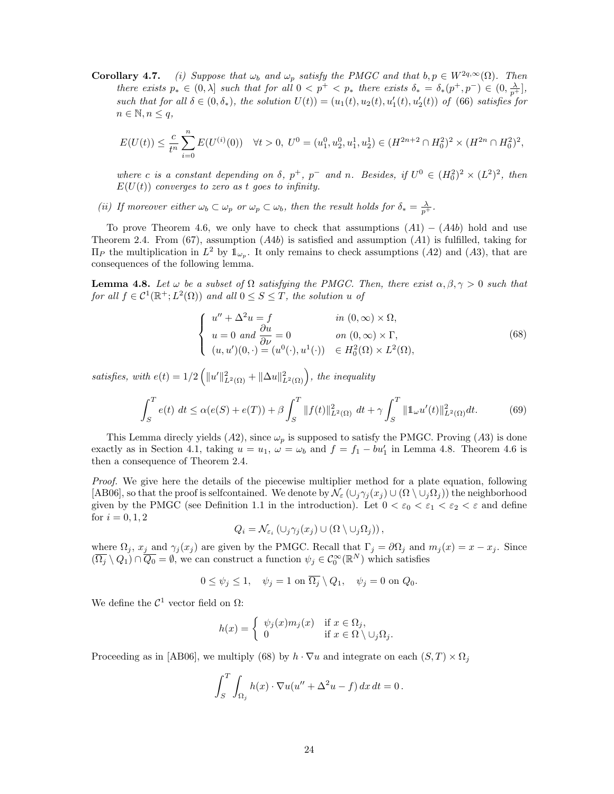**Corollary 4.7.** (i) Suppose that  $\omega_b$  and  $\omega_p$  satisfy the PMGC and that  $b, p \in W^{2q, \infty}(\Omega)$ . Then there exists  $p_* \in (0, \lambda]$  such that for all  $0 < p^+ < p_*$  there exists  $\delta_* = \delta_*(p^+, p^-) \in (0, \frac{\lambda}{p^+})$ , such that for all  $\delta \in (0, \delta_*)$ , the solution  $U(t) = (u_1(t), u_2(t), u'_1(t), u'_2(t))$  of (66) satisfies for  $n \in \mathbb{N}, n \leq q,$ 

$$
E(U(t)) \leq \frac{c}{t^n} \sum_{i=0}^n E(U^{(i)}(0)) \quad \forall t > 0, \ U^0 = (u_1^0, u_2^0, u_1^1, u_2^1) \in (H^{2n+2} \cap H_0^2)^2 \times (H^{2n} \cap H_0^2)^2,
$$

where c is a constant depending on  $\delta$ ,  $p^+$ ,  $p^-$  and n. Besides, if  $U^0 \in (H_0^2)^2 \times (L^2)^2$ , then  $E(U(t))$  converges to zero as t goes to infinity.

(ii) If moreover either  $\omega_b \subset \omega_p$  or  $\omega_p \subset \omega_b$ , then the result holds for  $\delta_* = \frac{\lambda}{p^+}$ .

To prove Theorem 4.6, we only have to check that assumptions  $(A1) - (A4b)$  hold and use Theorem 2.4. From (67), assumption  $(A4b)$  is satisfied and assumption  $(A1)$  is fulfilled, taking for  $\Pi_P$  the multiplication in  $L^2$  by  $\mathbb{1}_{\omega_P}$ . It only remains to check assumptions  $(A2)$  and  $(A3)$ , that are consequences of the following lemma.

**Lemma 4.8.** Let  $\omega$  be a subset of  $\Omega$  satisfying the PMGC. Then, there exist  $\alpha, \beta, \gamma > 0$  such that for all  $f \in C^1(\mathbb{R}^+; L^2(\Omega))$  and all  $0 \leq S \leq T$ , the solution u of

$$
\begin{cases}\nu'' + \Delta^2 u = f & \text{in } (0, \infty) \times \Omega, \\
u = 0 \text{ and } \frac{\partial u}{\partial \nu} = 0 & \text{on } (0, \infty) \times \Gamma, \\
(u, u')(0, \cdot) = (u^0(\cdot), u^1(\cdot)) \in H_0^2(\Omega) \times L^2(\Omega),\n\end{cases}
$$
\n(68)

satisfies, with  $e(t) = 1/2 \left( ||u'||_{L^2(\Omega)}^2 + ||\Delta u||_{L^2(\Omega)}^2 \right)$ , the inequality

$$
\int_{S}^{T} e(t) \, dt \le \alpha(e(S) + e(T)) + \beta \int_{S}^{T} ||f(t)||_{L^{2}(\Omega)}^{2} \, dt + \gamma \int_{S}^{T} ||\mathbb{1}_{\omega} u'(t)||_{L^{2}(\Omega)}^{2} \, dt. \tag{69}
$$

This Lemma direcly yields  $(A2)$ , since  $\omega_p$  is supposed to satisfy the PMGC. Proving  $(A3)$  is done exactly as in Section 4.1, taking  $u = u_1$ ,  $\omega = \omega_b$  and  $f = f_1 - bu'_1$  in Lemma 4.8. Theorem 4.6 is then a consequence of Theorem 2.4.

Proof. We give here the details of the piecewise multiplier method for a plate equation, following [AB06], so that the proof is selfcontained. We denote by  $\mathcal{N}_{\varepsilon}(\cup_i\gamma_i(x_i)\cup(\Omega\setminus\cup_i\Omega_i))$  the neighborhood given by the PMGC (see Definition 1.1 in the introduction). Let  $0 < \varepsilon_0 < \varepsilon_1 < \varepsilon_2 < \varepsilon$  and define for  $i = 0, 1, 2$ 

$$
Q_i = \mathcal{N}_{\varepsilon_i} (\cup_j \gamma_j(x_j) \cup (\Omega \setminus \cup_j \Omega_j)),
$$

where  $\Omega_j$ ,  $x_j$  and  $\gamma_j(x_j)$  are given by the PMGC. Recall that  $\Gamma_j = \partial \Omega_j$  and  $m_j(x) = x - x_j$ . Since  $(\overline{\Omega_j} \setminus Q_1) \cap \overline{Q_0} = \emptyset$ , we can construct a function  $\psi_j \in C_0^{\infty}(\mathbb{R}^N)$  which satisfies

$$
0 \le \psi_j \le 1, \quad \psi_j = 1 \text{ on } \overline{\Omega_j} \setminus Q_1, \quad \psi_j = 0 \text{ on } Q_0.
$$

We define the  $\mathcal{C}^1$  vector field on  $\Omega$ :

$$
h(x) = \begin{cases} \psi_j(x)m_j(x) & \text{if } x \in \Omega_j, \\ 0 & \text{if } x \in \Omega \setminus \cup_j \Omega_j. \end{cases}
$$

Proceeding as in [AB06], we multiply (68) by  $h \cdot \nabla u$  and integrate on each  $(S,T) \times \Omega_i$ 

$$
\int_{S}^{T} \int_{\Omega_j} h(x) \cdot \nabla u(u'' + \Delta^2 u - f) \, dx \, dt = 0 \, .
$$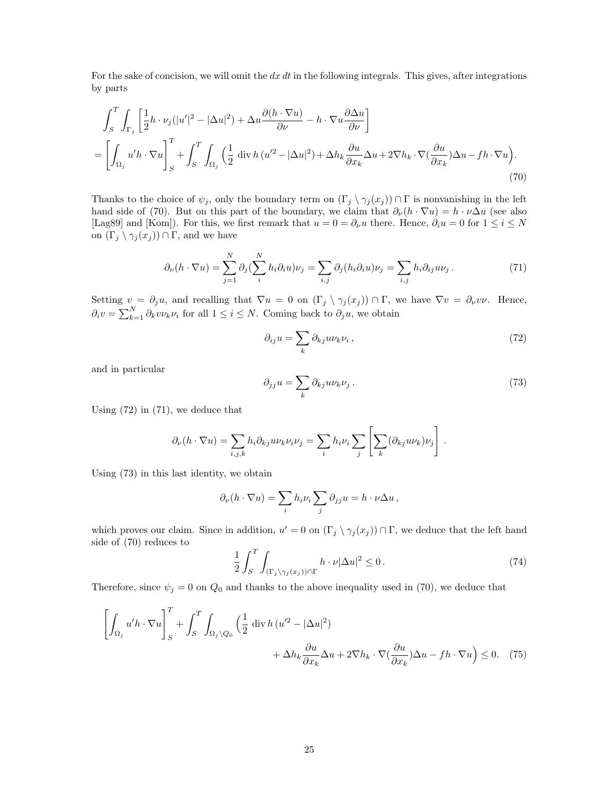For the sake of concision, we will omit the  $dx\,dt$  in the following integrals. This gives, after integrations by parts

$$
\int_{S}^{T} \int_{\Gamma_{j}} \left[ \frac{1}{2} h \cdot \nu_{j} (|u'|^{2} - |\Delta u|^{2}) + \Delta u \frac{\partial (h \cdot \nabla u)}{\partial \nu} - h \cdot \nabla u \frac{\partial \Delta u}{\partial \nu} \right]
$$
\n
$$
= \left[ \int_{\Omega_{j}} u'h \cdot \nabla u \right]_{S}^{T} + \int_{S}^{T} \int_{\Omega_{j}} \left( \frac{1}{2} \operatorname{div} h (u'^{2} - |\Delta u|^{2}) + \Delta h_{k} \frac{\partial u}{\partial x_{k}} \Delta u + 2 \nabla h_{k} \cdot \nabla (\frac{\partial u}{\partial x_{k}}) \Delta u - fh \cdot \nabla u \right).
$$
\n(70)

Thanks to the choice of  $\psi_j$ , only the boundary term on  $(\Gamma_j \setminus \gamma_j (x_j)) \cap \Gamma$  is nonvanishing in the left hand side of (70). But on this part of the boundary, we claim that  $\partial_{\nu}(h \cdot \nabla u) = h \cdot \nu \Delta u$  (see also [Lag89] and [Kom]). For this, we first remark that  $u = 0 = \partial_{\nu}u$  there. Hence,  $\partial_i u = 0$  for  $1 \le i \le N$ on  $(\Gamma_j \setminus \gamma_j(x_j)) \cap \Gamma$ , and we have

$$
\partial_{\nu}(h \cdot \nabla u) = \sum_{j=1}^{N} \partial_{j} (\sum_{i}^{N} h_{i} \partial_{i} u) \nu_{j} = \sum_{i,j} \partial_{j} (h_{i} \partial_{i} u) \nu_{j} = \sum_{i,j} h_{i} \partial_{ij} u \nu_{j}.
$$
 (71)

Setting  $v = \partial_j u$ , and recalling that  $\nabla u = 0$  on  $(\Gamma_j \setminus \gamma_j(x_j)) \cap \Gamma$ , we have  $\nabla v = \partial_\nu v \nu$ . Hence,  $\partial_i v = \sum_{k=1}^N \partial_k v \nu_k \nu_i$  for all  $1 \leq i \leq N$ . Coming back to  $\partial_j u$ , we obtain

$$
\partial_{ij}u = \sum_{k} \partial_{kj} u \nu_k \nu_i , \qquad (72)
$$

and in particular

$$
\partial_{jj} u = \sum_{k} \partial_{kj} u \nu_k \nu_j \,. \tag{73}
$$

Using (72) in (71), we deduce that

$$
\partial_{\nu}(h \cdot \nabla u) = \sum_{i,j,k} h_i \partial_{kj} u \nu_k \nu_i \nu_j = \sum_i h_i \nu_i \sum_j \left[ \sum_k (\partial_{kj} u \nu_k) \nu_j \right].
$$

Using (73) in this last identity, we obtain

$$
\partial_{\nu}(h \cdot \nabla u) = \sum_{i} h_{i} \nu_{i} \sum_{j} \partial_{jj} u = h \cdot \nu \Delta u,
$$

which proves our claim. Since in addition,  $u' = 0$  on  $(\Gamma_j \setminus \gamma_j(x_j)) \cap \Gamma$ , we deduce that the left hand side of (70) reduces to

$$
\frac{1}{2} \int_{S}^{T} \int_{(\Gamma_j \setminus \gamma_j(x_j)) \cap \Gamma} h \cdot \nu |\Delta u|^2 \le 0.
$$
\n(74)

Therefore, since  $\psi_j = 0$  on  $Q_0$  and thanks to the above inequality used in (70), we deduce that

$$
\left[\int_{\Omega_j} u'h \cdot \nabla u\right]_S^T + \int_S^T \int_{\Omega_j \setminus Q_0} \left(\frac{1}{2} \operatorname{div} h (u'^2 - |\Delta u|^2) + \Delta h_k \frac{\partial u}{\partial x_k} \Delta u + 2 \nabla h_k \cdot \nabla \left(\frac{\partial u}{\partial x_k}\right) \Delta u - fh \cdot \nabla u\right) \le 0. \tag{75}
$$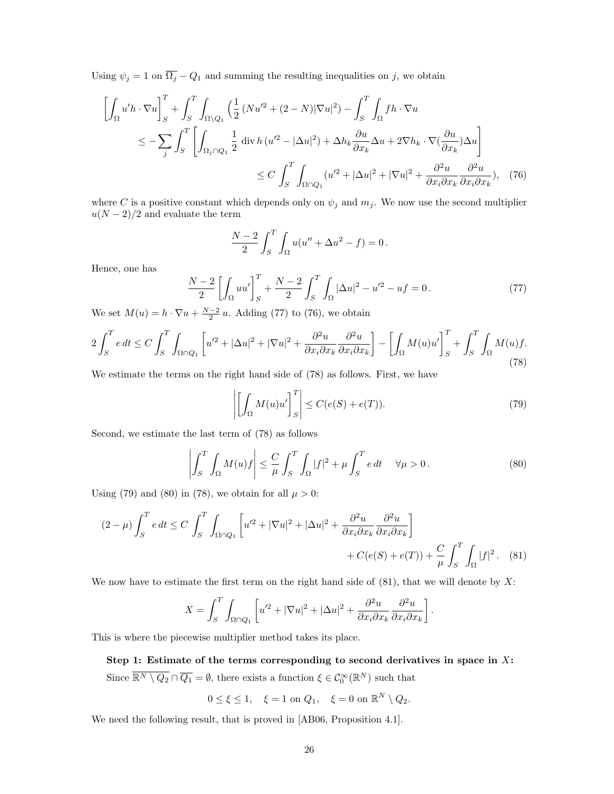Using  $\psi_j = 1$  on  $\overline{\Omega_j} - Q_1$  and summing the resulting inequalities on j, we obtain

$$
\left[\int_{\Omega} u'h \cdot \nabla u\right]_{S}^{T} + \int_{S}^{T} \int_{\Omega \setminus Q_{1}} \left(\frac{1}{2} \left(Nu'^{2} + (2 - N)|\nabla u|^{2}\right) - \int_{S}^{T} \int_{\Omega} fh \cdot \nabla u\right)
$$
\n
$$
\leq -\sum_{j} \int_{S}^{T} \left[\int_{\Omega_{j} \cap Q_{1}} \frac{1}{2} \operatorname{div} h \left(u'^{2} - |\Delta u|^{2}\right) + \Delta h_{k} \frac{\partial u}{\partial x_{k}} \Delta u + 2 \nabla h_{k} \cdot \nabla \left(\frac{\partial u}{\partial x_{k}}\right) \Delta u\right]
$$
\n
$$
\leq C \int_{S}^{T} \int_{\Omega \cap Q_{1}} \left(u'^{2} + |\Delta u|^{2} + |\nabla u|^{2} + \frac{\partial^{2} u}{\partial x_{i} \partial x_{k}} \frac{\partial^{2} u}{\partial x_{i} \partial x_{k}}\right), \quad (76)
$$

where C is a positive constant which depends only on  $\psi_j$  and  $m_j$ . We now use the second multiplier  $u(N-2)/2$  and evaluate the term

$$
\frac{N-2}{2} \int_{S}^{T} \int_{\Omega} u(u'' + \Delta u^{2} - f) = 0.
$$

Hence, one has

$$
\frac{N-2}{2} \left[ \int_{\Omega} uu' \right]_{S}^{T} + \frac{N-2}{2} \int_{S}^{T} \int_{\Omega} |\Delta u|^{2} - u'^{2} - uf = 0. \tag{77}
$$

We set  $M(u) = h \cdot \nabla u + \frac{N-2}{2} u$ . Adding (77) to (76), we obtain

$$
2\int_{S}^{T} e dt \le C \int_{S}^{T} \int_{\Omega \cap Q_{1}} \left[ u'^{2} + |\Delta u|^{2} + |\nabla u|^{2} + \frac{\partial^{2} u}{\partial x_{i} \partial x_{k}} \frac{\partial^{2} u}{\partial x_{i} \partial x_{k}} \right] - \left[ \int_{\Omega} M(u) u' \right]_{S}^{T} + \int_{S}^{T} \int_{\Omega} M(u) f. \tag{78}
$$

We estimate the terms on the right hand side of (78) as follows. First, we have

$$
\left| \left[ \int_{\Omega} M(u)u' \right]_{S}^{T} \right| \leq C(e(S) + e(T)).
$$
\n(79)

Second, we estimate the last term of (78) as follows

$$
\left| \int_{S}^{T} \int_{\Omega} M(u) f \right| \leq \frac{C}{\mu} \int_{S}^{T} \int_{\Omega} |f|^{2} + \mu \int_{S}^{T} e dt \quad \forall \mu > 0.
$$
 (80)

Using (79) and (80) in (78), we obtain for all  $\mu > 0$ :

$$
(2 - \mu) \int_{S}^{T} e \, dt \le C \int_{S}^{T} \int_{\Omega \cap Q_{1}} \left[ u'^{2} + |\nabla u|^{2} + |\Delta u|^{2} + \frac{\partial^{2} u}{\partial x_{i} \partial x_{k}} \frac{\partial^{2} u}{\partial x_{i} \partial x_{k}} \right] + C(e(S) + e(T)) + \frac{C}{\mu} \int_{S}^{T} \int_{\Omega} |f|^{2}.
$$
 (81)

We now have to estimate the first term on the right hand side of  $(81)$ , that we will denote by X:

$$
X = \int_{S}^{T} \int_{\Omega \cap Q_1} \left[ u'^2 + |\nabla u|^2 + |\Delta u|^2 + \frac{\partial^2 u}{\partial x_i \partial x_k} \frac{\partial^2 u}{\partial x_i \partial x_k} \right].
$$

This is where the piecewise multiplier method takes its place.

# Step 1: Estimate of the terms corresponding to second derivatives in space in  $X$ : Since  $\overline{\mathbb{R}^N \setminus Q_2} \cap \overline{Q_1} = \emptyset$ , there exists a function  $\xi \in C_0^{\infty}(\mathbb{R}^N)$  such that

$$
0\leq\xi\leq 1,\quad \xi=1\text{ on }Q_1,\quad \xi=0\text{ on }\mathbb{R}^N\setminus Q_2.
$$

We need the following result, that is proved in [AB06, Proposition 4.1].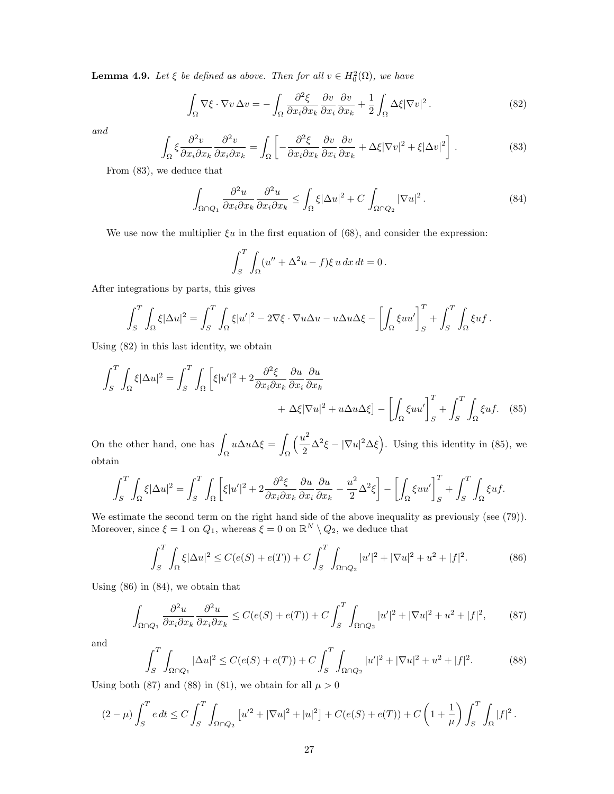**Lemma 4.9.** Let  $\xi$  be defined as above. Then for all  $v \in H_0^2(\Omega)$ , we have

$$
\int_{\Omega} \nabla \xi \cdot \nabla v \,\Delta v = -\int_{\Omega} \frac{\partial^2 \xi}{\partial x_i \partial x_k} \frac{\partial v}{\partial x_i} \frac{\partial v}{\partial x_k} + \frac{1}{2} \int_{\Omega} \Delta \xi |\nabla v|^2. \tag{82}
$$

and

$$
\int_{\Omega} \xi \frac{\partial^2 v}{\partial x_i \partial x_k} \frac{\partial^2 v}{\partial x_i \partial x_k} = \int_{\Omega} \left[ -\frac{\partial^2 \xi}{\partial x_i \partial x_k} \frac{\partial v}{\partial x_i} \frac{\partial v}{\partial x_k} + \Delta \xi |\nabla v|^2 + \xi |\Delta v|^2 \right].
$$
\n(83)

From (83), we deduce that

$$
\int_{\Omega \cap Q_1} \frac{\partial^2 u}{\partial x_i \partial x_k} \frac{\partial^2 u}{\partial x_i \partial x_k} \le \int_{\Omega} \xi |\Delta u|^2 + C \int_{\Omega \cap Q_2} |\nabla u|^2. \tag{84}
$$

We use now the multiplier  $\xi u$  in the first equation of (68), and consider the expression:

$$
\int_{S}^{T} \int_{\Omega} (u'' + \Delta^2 u - f) \xi u \, dx \, dt = 0 \, .
$$

After integrations by parts, this gives

$$
\int_{S}^{T} \int_{\Omega} \xi |\Delta u|^{2} = \int_{S}^{T} \int_{\Omega} \xi |u'|^{2} - 2\nabla \xi \cdot \nabla u \Delta u - u \Delta u \Delta \xi - \left[ \int_{\Omega} \xi u u' \right]_{S}^{T} + \int_{S}^{T} \int_{\Omega} \xi u f.
$$

Using (82) in this last identity, we obtain

$$
\int_{S}^{T} \int_{\Omega} \xi |\Delta u|^{2} = \int_{S}^{T} \int_{\Omega} \left[ \xi |u'|^{2} + 2 \frac{\partial^{2} \xi}{\partial x_{i} \partial x_{k}} \frac{\partial u}{\partial x_{i}} \frac{\partial u}{\partial x_{k}} + \Delta \xi |\nabla u|^{2} + u \Delta u \Delta \xi \right] - \left[ \int_{\Omega} \xi u u' \right]_{S}^{T} + \int_{S}^{T} \int_{\Omega} \xi u f. \quad (85)
$$

On the other hand, one has Ω  $u\Delta u\Delta \xi =$ Ω  $\sqrt{u^2}$  $\frac{d^2}{2}\Delta^2 \xi - |\nabla u|^2 \Delta \xi$ . Using this identity in (85), we obtain

$$
\int_{S}^{T} \int_{\Omega} \xi |\Delta u|^{2} = \int_{S}^{T} \int_{\Omega} \left[ \xi |u'|^{2} + 2 \frac{\partial^{2} \xi}{\partial x_{i} \partial x_{k}} \frac{\partial u}{\partial x_{i}} \frac{\partial u}{\partial x_{k}} - \frac{u^{2}}{2} \Delta^{2} \xi \right] - \left[ \int_{\Omega} \xi u u' \right]_{S}^{T} + \int_{S}^{T} \int_{\Omega} \xi u f.
$$

We estimate the second term on the right hand side of the above inequality as previously (see  $(79)$ ). Moreover, since  $\xi = 1$  on  $Q_1$ , whereas  $\xi = 0$  on  $\mathbb{R}^N \setminus Q_2$ , we deduce that

$$
\int_{S}^{T} \int_{\Omega} \xi |\Delta u|^{2} \le C(e(S) + e(T)) + C \int_{S}^{T} \int_{\Omega \cap Q_{2}} |u'|^{2} + |\nabla u|^{2} + u^{2} + |f|^{2}.
$$
 (86)

Using (86) in (84), we obtain that

$$
\int_{\Omega \cap Q_1} \frac{\partial^2 u}{\partial x_i \partial x_k} \frac{\partial^2 u}{\partial x_i \partial x_k} \le C(e(S) + e(T)) + C \int_S^T \int_{\Omega \cap Q_2} |u'|^2 + |\nabla u|^2 + u^2 + |f|^2,\tag{87}
$$

and

$$
\int_{S}^{T} \int_{\Omega \cap Q_{1}} |\Delta u|^{2} \le C(e(S) + e(T)) + C \int_{S}^{T} \int_{\Omega \cap Q_{2}} |u'|^{2} + |\nabla u|^{2} + u^{2} + |f|^{2}.
$$
 (88)

Using both (87) and (88) in (81), we obtain for all  $\mu > 0$ 

$$
(2 - \mu) \int_{S}^{T} e dt \le C \int_{S}^{T} \int_{\Omega \cap Q_2} \left[ u'^2 + |\nabla u|^2 + |u|^2 \right] + C(e(S) + e(T)) + C\left(1 + \frac{1}{\mu}\right) \int_{S}^{T} \int_{\Omega} |f|^2.
$$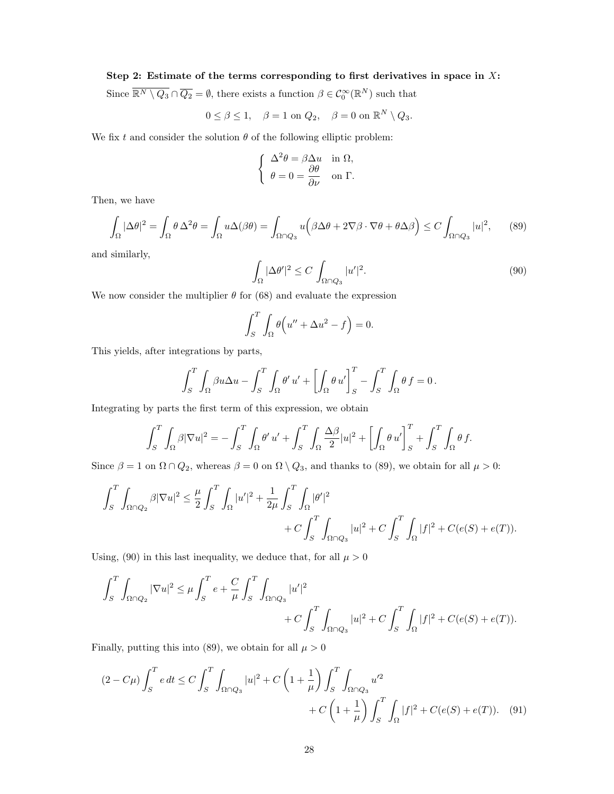### Step 2: Estimate of the terms corresponding to first derivatives in space in  $X$ :

Since  $\overline{\mathbb{R}^N \setminus Q_3} \cap \overline{Q_2} = \emptyset$ , there exists a function  $\beta \in C_0^{\infty}(\mathbb{R}^N)$  such that

$$
0 \le \beta \le 1, \quad \beta = 1 \text{ on } Q_2, \quad \beta = 0 \text{ on } \mathbb{R}^N \setminus Q_3.
$$

We fix t and consider the solution  $\theta$  of the following elliptic problem:

$$
\begin{cases}\n\Delta^2 \theta = \beta \Delta u & \text{in } \Omega, \\
\theta = 0 = \frac{\partial \theta}{\partial \nu} & \text{on } \Gamma.\n\end{cases}
$$

Then, we have

$$
\int_{\Omega} |\Delta \theta|^2 = \int_{\Omega} \theta \, \Delta^2 \theta = \int_{\Omega} u \Delta(\beta \theta) = \int_{\Omega \cap Q_3} u \Big( \beta \Delta \theta + 2 \nabla \beta \cdot \nabla \theta + \theta \Delta \beta \Big) \le C \int_{\Omega \cap Q_3} |u|^2, \tag{89}
$$

and similarly,

$$
\int_{\Omega} |\Delta \theta'|^2 \le C \int_{\Omega \cap Q_3} |u'|^2. \tag{90}
$$

We now consider the multiplier  $\theta$  for (68) and evaluate the expression

$$
\int_{S}^{T} \int_{\Omega} \theta \Big( u'' + \Delta u^2 - f \Big) = 0.
$$

This yields, after integrations by parts,

$$
\int_{S}^{T} \int_{\Omega} \beta u \Delta u - \int_{S}^{T} \int_{\Omega} \theta' u' + \left[ \int_{\Omega} \theta u' \right]_{S}^{T} - \int_{S}^{T} \int_{\Omega} \theta f = 0.
$$

Integrating by parts the first term of this expression, we obtain

$$
\int_{S}^{T} \int_{\Omega} \beta |\nabla u|^{2} = -\int_{S}^{T} \int_{\Omega} \theta' u' + \int_{S}^{T} \int_{\Omega} \frac{\Delta \beta}{2} |u|^{2} + \left[ \int_{\Omega} \theta u' \right]_{S}^{T} + \int_{S}^{T} \int_{\Omega} \theta f.
$$

Since  $\beta = 1$  on  $\Omega \cap Q_2$ , whereas  $\beta = 0$  on  $\Omega \setminus Q_3$ , and thanks to (89), we obtain for all  $\mu > 0$ :

$$
\begin{aligned} \int_S^T\int_{\Omega\cap Q_2}\beta|\nabla u|^2&\leq\frac{\mu}{2}\int_S^T\int_\Omega|u'|^2+\frac{1}{2\mu}\int_S^T\int_\Omega|\theta'|^2\\ &\qquad\qquad+C\int_S^T\int_{\Omega\cap Q_3}|u|^2+C\int_S^T\int_\Omega|f|^2+C(e(S)+e(T)). \end{aligned}
$$

Using, (90) in this last inequality, we deduce that, for all  $\mu > 0$ 

$$
\begin{aligned} \int_S^T\int_{\Omega\cap Q_2}|\nabla u|^2&\leq \mu\int_S^Te+\frac{C}{\mu}\int_S^T\int_{\Omega\cap Q_3}|u'|^2\\ &\qquad \qquad +C\int_S^T\int_{\Omega\cap Q_3}|u|^2+C\int_S^T\int_\Omega|f|^2+C(e(S)+e(T)). \end{aligned}
$$

Finally, putting this into (89), we obtain for all  $\mu > 0$ 

$$
(2 - C\mu) \int_{S}^{T} e dt \le C \int_{S}^{T} \int_{\Omega \cap Q_{3}} |u|^{2} + C \left(1 + \frac{1}{\mu}\right) \int_{S}^{T} \int_{\Omega \cap Q_{3}} u'^{2} + C \left(1 + \frac{1}{\mu}\right) \int_{S}^{T} \int_{\Omega} |f|^{2} + C(e(S) + e(T)). \tag{91}
$$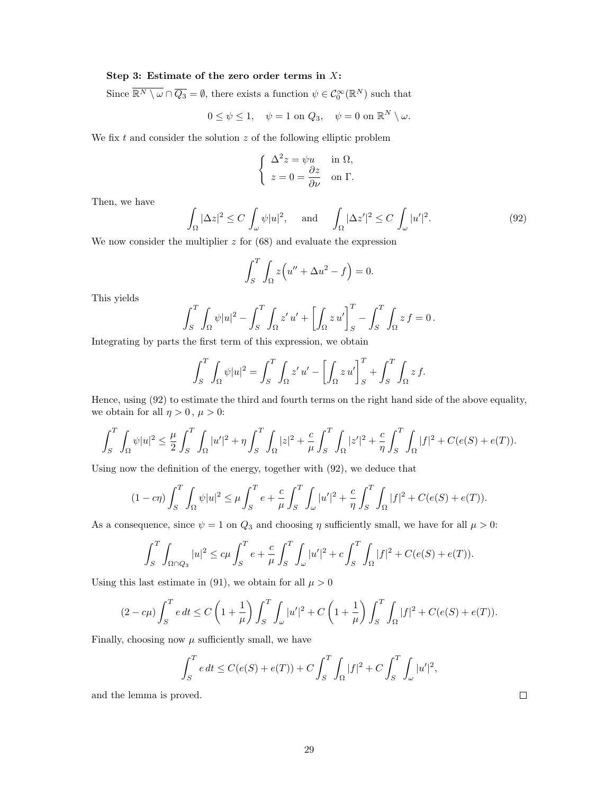### Step 3: Estimate of the zero order terms in  $X$ :

Since  $\overline{\mathbb{R}^N \setminus \omega} \cap \overline{Q_3} = \emptyset$ , there exists a function  $\psi \in C_0^{\infty}(\mathbb{R}^N)$  such that

$$
0 \le \psi \le 1, \quad \psi = 1 \text{ on } Q_3, \quad \psi = 0 \text{ on } \mathbb{R}^N \setminus \omega.
$$

We fix  $t$  and consider the solution  $z$  of the following elliptic problem

$$
\begin{cases}\n\Delta^2 z = \psi u & \text{in } \Omega, \\
z = 0 = \frac{\partial z}{\partial \nu} & \text{on } \Gamma.\n\end{cases}
$$

Then, we have

$$
\int_{\Omega} |\Delta z|^2 \le C \int_{\omega} \psi |u|^2, \quad \text{and} \quad \int_{\Omega} |\Delta z'|^2 \le C \int_{\omega} |u'|^2. \tag{92}
$$

We now consider the multiplier  $z$  for  $(68)$  and evaluate the expression

$$
\int_{S}^{T} \int_{\Omega} z \left( u'' + \Delta u^{2} - f \right) = 0.
$$

This yields

$$
\int_{S}^{T} \int_{\Omega} \psi |u|^2 - \int_{S}^{T} \int_{\Omega} z' u' + \left[ \int_{\Omega} z u' \right]_{S}^{T} - \int_{S}^{T} \int_{\Omega} z f = 0.
$$

Integrating by parts the first term of this expression, we obtain

$$
\int_{S}^{T} \int_{\Omega} \psi |u|^2 = \int_{S}^{T} \int_{\Omega} z' u' - \left[ \int_{\Omega} z u' \right]_{S}^{T} + \int_{S}^{T} \int_{\Omega} z f.
$$

Hence, using (92) to estimate the third and fourth terms on the right hand side of the above equality, we obtain for all  $\eta > 0$ ,  $\mu > 0$ :

$$
\int_{S}^{T} \int_{\Omega} \psi |u|^{2} \leq \frac{\mu}{2} \int_{S}^{T} \int_{\Omega} |u'|^{2} + \eta \int_{S}^{T} \int_{\Omega} |z|^{2} + \frac{c}{\mu} \int_{S}^{T} \int_{\Omega} |z'|^{2} + \frac{c}{\eta} \int_{S}^{T} \int_{\Omega} |f|^{2} + C(e(S) + e(T)).
$$

Using now the definition of the energy, together with (92), we deduce that

$$
(1 - c\eta) \int_{S}^{T} \int_{\Omega} \psi |u|^{2} \leq \mu \int_{S}^{T} e + \frac{c}{\mu} \int_{S}^{T} \int_{\omega} |u'|^{2} + \frac{c}{\eta} \int_{S}^{T} \int_{\Omega} |f|^{2} + C(e(S) + e(T)).
$$

As a consequence, since  $\psi = 1$  on  $Q_3$  and choosing  $\eta$  sufficiently small, we have for all  $\mu > 0$ :

$$
\int_{S}^{T} \int_{\Omega \cap Q_{3}} |u|^{2} \leq c \mu \int_{S}^{T} e + \frac{c}{\mu} \int_{S}^{T} \int_{\omega} |u'|^{2} + c \int_{S}^{T} \int_{\Omega} |f|^{2} + C(e(S) + e(T)).
$$

Using this last estimate in (91), we obtain for all  $\mu > 0$ 

$$
(2 - c\mu) \int_{S}^{T} e dt \le C \left( 1 + \frac{1}{\mu} \right) \int_{S}^{T} \int_{\omega} |u'|^{2} + C \left( 1 + \frac{1}{\mu} \right) \int_{S}^{T} \int_{\Omega} |f|^{2} + C(e(S) + e(T)).
$$

Finally, choosing now  $\mu$  sufficiently small, we have

$$
\int_{S}^{T} e dt \le C(e(S) + e(T)) + C \int_{S}^{T} \int_{\Omega} |f|^{2} + C \int_{S}^{T} \int_{\omega} |u'|^{2},
$$

and the lemma is proved.

 $\Box$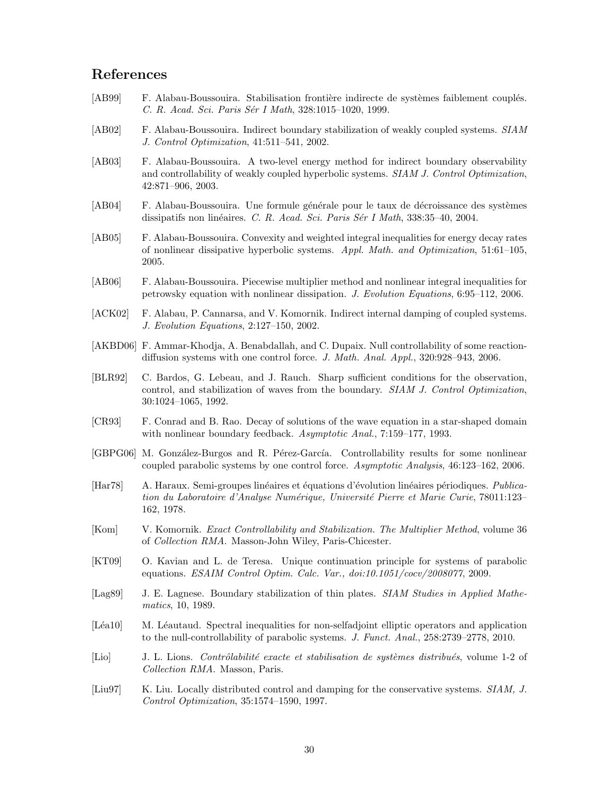# References

- [AB99] F. Alabau-Boussouira. Stabilisation frontière indirecte de systèmes faiblement couplés. C. R. Acad. Sci. Paris Sér I Math, 328:1015–1020, 1999.
- [AB02] F. Alabau-Boussouira. Indirect boundary stabilization of weakly coupled systems. SIAM J. Control Optimization, 41:511–541, 2002.
- [AB03] F. Alabau-Boussouira. A two-level energy method for indirect boundary observability and controllability of weakly coupled hyperbolic systems. SIAM J. Control Optimization, 42:871–906, 2003.
- [AB04] F. Alabau-Boussouira. Une formule générale pour le taux de décroissance des systèmes dissipatifs non linéaires. C. R. Acad. Sci. Paris Sér I Math,  $338:35-40$ , 2004.
- [AB05] F. Alabau-Boussouira. Convexity and weighted integral inequalities for energy decay rates of nonlinear dissipative hyperbolic systems. Appl. Math. and Optimization, 51:61–105, 2005.
- [AB06] F. Alabau-Boussouira. Piecewise multiplier method and nonlinear integral inequalities for petrowsky equation with nonlinear dissipation. J. Evolution Equations, 6:95–112, 2006.
- [ACK02] F. Alabau, P. Cannarsa, and V. Komornik. Indirect internal damping of coupled systems. J. Evolution Equations, 2:127–150, 2002.
- [AKBD06] F. Ammar-Khodja, A. Benabdallah, and C. Dupaix. Null controllability of some reactiondiffusion systems with one control force. J. Math. Anal. Appl., 320:928-943, 2006.
- [BLR92] C. Bardos, G. Lebeau, and J. Rauch. Sharp sufficient conditions for the observation, control, and stabilization of waves from the boundary. SIAM J. Control Optimization, 30:1024–1065, 1992.
- [CR93] F. Conrad and B. Rao. Decay of solutions of the wave equation in a star-shaped domain with nonlinear boundary feedback. Asymptotic Anal., 7:159–177, 1993.
- [GBPG06] M. González-Burgos and R. Pérez-García. Controllability results for some nonlinear coupled parabolic systems by one control force. Asymptotic Analysis, 46:123–162, 2006.
- [Har78] A. Haraux. Semi-groupes linéaires et équations d'évolution linéaires périodiques. Publication du Laboratoire d'Analyse Numérique, Université Pierre et Marie Curie, 78011:123– 162, 1978.
- [Kom] V. Komornik. Exact Controllability and Stabilization. The Multiplier Method, volume 36 of Collection RMA. Masson-John Wiley, Paris-Chicester.
- [KT09] O. Kavian and L. de Teresa. Unique continuation principle for systems of parabolic equations. ESAIM Control Optim. Calc. Var., doi:10.1051/cocv/2008077, 2009.
- [Lag89] J. E. Lagnese. Boundary stabilization of thin plates. *SIAM Studies in Applied Mathe*matics, 10, 1989.
- [Léa10] M. Léautaud. Spectral inequalities for non-selfadjoint elliptic operators and application to the null-controllability of parabolic systems. J. Funct. Anal., 258:2739–2778, 2010.
- [Lio] J. L. Lions. Contrôlabilité exacte et stabilisation de systèmes distribués, volume 1-2 of Collection RMA. Masson, Paris.
- [Liu97] K. Liu. Locally distributed control and damping for the conservative systems. *SIAM, J.* Control Optimization, 35:1574–1590, 1997.